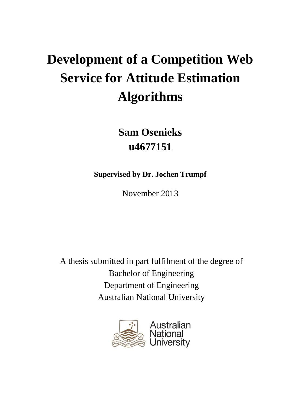# **Development of a Competition Web Service for Attitude Estimation Algorithms**

**Sam Osenieks u4677151**

**Supervised by Dr. Jochen Trumpf**

November 2013

A thesis submitted in part fulfilment of the degree of Bachelor of Engineering Department of Engineering Australian National University

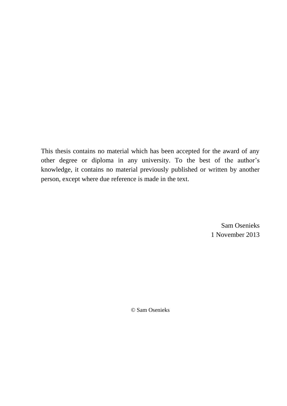This thesis contains no material which has been accepted for the award of any other degree or diploma in any university. To the best of the author's knowledge, it contains no material previously published or written by another person, except where due reference is made in the text.

> Sam Osenieks 1 November 2013

© Sam Osenieks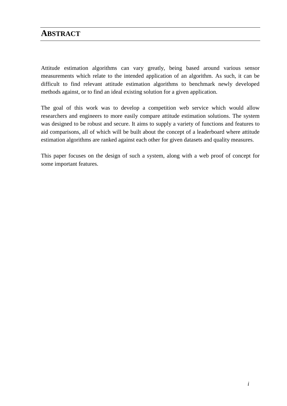## **ABSTRACT**

Attitude estimation algorithms can vary greatly, being based around various sensor measurements which relate to the intended application of an algorithm. As such, it can be difficult to find relevant attitude estimation algorithms to benchmark newly developed methods against, or to find an ideal existing solution for a given application.

The goal of this work was to develop a competition web service which would allow researchers and engineers to more easily compare attitude estimation solutions. The system was designed to be robust and secure. It aims to supply a variety of functions and features to aid comparisons, all of which will be built about the concept of a leaderboard where attitude estimation algorithms are ranked against each other for given datasets and quality measures.

This paper focuses on the design of such a system, along with a web proof of concept for some important features.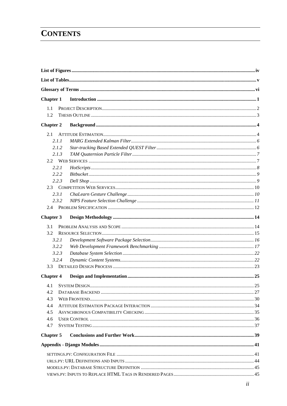## **CONTENTS**

| <b>Chapter 1</b> |       |  |
|------------------|-------|--|
| 1.1              |       |  |
| 1.2              |       |  |
| <b>Chapter 2</b> |       |  |
| 2.1              |       |  |
|                  | 2.1.1 |  |
|                  | 2.1.2 |  |
|                  | 2.1.3 |  |
|                  |       |  |
|                  | 2.2.1 |  |
|                  | 2.2.2 |  |
|                  | 2.2.3 |  |
|                  |       |  |
|                  | 2.3.1 |  |
|                  | 2.3.2 |  |
| 2.4              |       |  |
| <b>Chapter 3</b> |       |  |
| 3.1              |       |  |
| 3.2              |       |  |
|                  | 3.2.1 |  |
|                  | 3.2.2 |  |
|                  | 3.2.3 |  |
|                  | 3.2.4 |  |
| 3.3              |       |  |
| <b>Chapter 4</b> |       |  |
| 4.1              |       |  |
| 4.2              |       |  |
| 4.3              |       |  |
| 4.4              |       |  |
| 4.5              |       |  |
| 4.6              |       |  |
| 4.7              |       |  |
| <b>Chapter 5</b> |       |  |
|                  |       |  |
|                  |       |  |
|                  |       |  |
|                  |       |  |
|                  |       |  |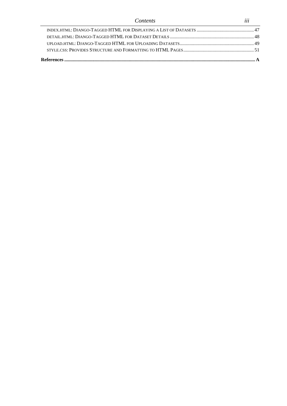| Contents                                            | 111 |
|-----------------------------------------------------|-----|
|                                                     |     |
| DETAIL HTML: DIANGO-TAGGED HTML FOR DATASET DETAILS |     |
|                                                     |     |
|                                                     |     |
|                                                     |     |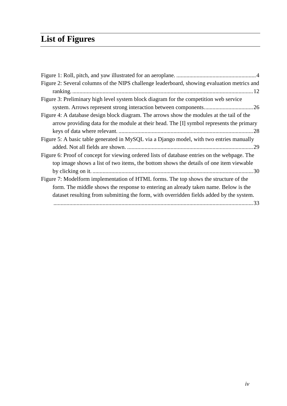## <span id="page-5-0"></span>**List of Figures**

| Figure 2: Several columns of the NIPS challenge leaderboard, showing evaluation metrics and  |
|----------------------------------------------------------------------------------------------|
|                                                                                              |
| Figure 3: Preliminary high level system block diagram for the competition web service        |
|                                                                                              |
| Figure 4: A database design block diagram. The arrows show the modules at the tail of the    |
| arrow providing data for the module at their head. The [I] symbol represents the primary     |
|                                                                                              |
| Figure 5: A basic table generated in MySQL via a Django model, with two entries manually     |
|                                                                                              |
| Figure 6: Proof of concept for viewing ordered lists of database entries on the webpage. The |
| top image shows a list of two items, the bottom shows the details of one item viewable       |
|                                                                                              |
| Figure 7: Modelform implementation of HTML forms. The top shows the structure of the         |
| form. The middle shows the response to entering an already taken name. Below is the          |
| dataset resulting from submitting the form, with overridden fields added by the system.      |
|                                                                                              |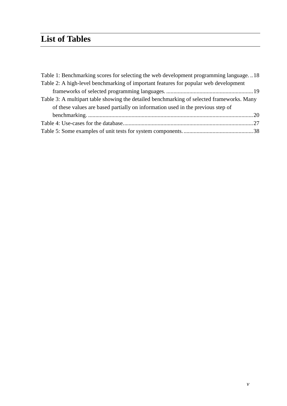## <span id="page-6-0"></span>**List of Tables**

| Table 1: Benchmarking scores for selecting the web development programming language18     |  |
|-------------------------------------------------------------------------------------------|--|
| Table 2: A high-level benchmarking of important features for popular web development      |  |
|                                                                                           |  |
| Table 3: A multipart table showing the detailed benchmarking of selected frameworks. Many |  |
| of these values are based partially on information used in the previous step of           |  |
|                                                                                           |  |
|                                                                                           |  |
|                                                                                           |  |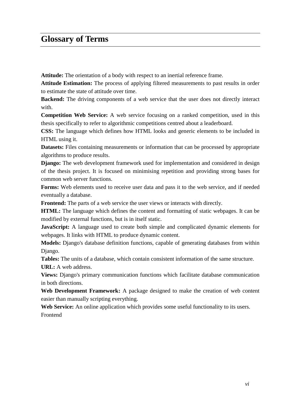## <span id="page-7-0"></span>**Glossary of Terms**

**Attitude:** The orientation of a body with respect to an inertial reference frame.

**Attitude Estimation:** The process of applying filtered measurements to past results in order to estimate the state of attitude over time.

**Backend:** The driving components of a web service that the user does not directly interact with.

**Competition Web Service:** A web service focusing on a ranked competition, used in this thesis specifically to refer to algorithmic competitions centred about a leaderboard.

**CSS:** The language which defines how HTML looks and generic elements to be included in HTML using it.

**Datasets:** Files containing measurements or information that can be processed by appropriate algorithms to produce results.

**Django:** The web development framework used for implementation and considered in design of the thesis project. It is focused on minimising repetition and providing strong bases for common web server functions.

**Forms:** Web elements used to receive user data and pass it to the web service, and if needed eventually a database.

**Frontend:** The parts of a web service the user views or interacts with directly.

**HTML:** The language which defines the content and formatting of static webpages. It can be modified by external functions, but is in itself static.

**JavaScript:** A language used to create both simple and complicated dynamic elements for webpages. It links with HTML to produce dynamic content.

**Models:** Django's database definition functions, capable of generating databases from within Django.

**Tables:** The units of a database, which contain consistent information of the same structure.

**URL:** A web address.

**Views:** Django's primary communication functions which facilitate database communication in both directions.

**Web Development Framework:** A package designed to make the creation of web content easier than manually scripting everything.

**Web Service:** An online application which provides some useful functionality to its users. Frontend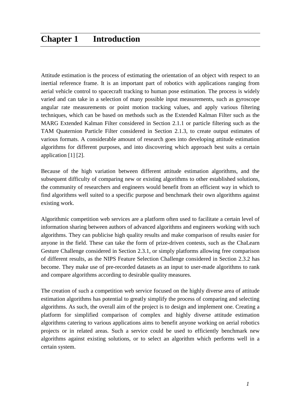<span id="page-8-0"></span>Attitude estimation is the process of estimating the orientation of an object with respect to an inertial reference frame. It is an important part of robotics with applications ranging from aerial vehicle control to spacecraft tracking to human pose estimation. The process is widely varied and can take in a selection of many possible input measurements, such as gyroscope angular rate measurements or point motion tracking values, and apply various filtering techniques, which can be based on methods such as the Extended Kalman Filter such as the MARG Extended Kalman Filter considered in Section [2.1.1](#page-13-0) or particle filtering such as the TAM Quaternion Particle Filter considered in Section [2.1.3,](#page-14-0) to create output estimates of various formats. A considerable amount of research goes into developing attitude estimation algorithms for different purposes, and into discovering which approach best suits a certain application [1] [2].

Because of the high variation between different attitude estimation algorithms, and the subsequent difficulty of comparing new or existing algorithms to other established solutions, the community of researchers and engineers would benefit from an efficient way in which to find algorithms well suited to a specific purpose and benchmark their own algorithms against existing work.

Algorithmic competition web services are a platform often used to facilitate a certain level of information sharing between authors of advanced algorithms and engineers working with such algorithms. They can publicise high quality results and make comparison of results easier for anyone in the field. These can take the form of prize-driven contests, such as the ChaLearn Gesture Challenge considered in Section [2.3.1,](#page-17-1) or simply platforms allowing free comparison of different results, as the NIPS Feature Selection Challenge considered in Section [2.3.2](#page-18-0) has become. They make use of pre-recorded datasets as an input to user-made algorithms to rank and compare algorithms according to desirable quality measures.

The creation of such a competition web service focused on the highly diverse area of attitude estimation algorithms has potential to greatly simplify the process of comparing and selecting algorithms. As such, the overall aim of the project is to design and implement one. Creating a platform for simplified comparison of complex and highly diverse attitude estimation algorithms catering to various applications aims to benefit anyone working on aerial robotics projects or in related areas. Such a service could be used to efficiently benchmark new algorithms against existing solutions, or to select an algorithm which performs well in a certain system.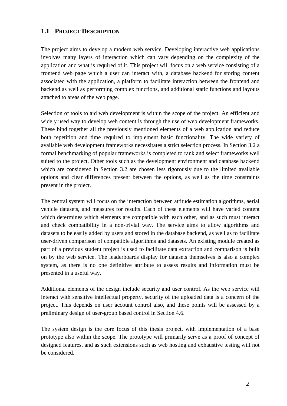#### <span id="page-9-0"></span>**1.1 PROJECT DESCRIPTION**

The project aims to develop a modern web service. Developing interactive web applications involves many layers of interaction which can vary depending on the complexity of the application and what is required of it. This project will focus on a web service consisting of a frontend web page which a user can interact with, a database backend for storing content associated with the application, a platform to facilitate interaction between the frontend and backend as well as performing complex functions, and additional static functions and layouts attached to areas of the web page.

Selection of tools to aid web development is within the scope of the project. An efficient and widely used way to develop web content is through the use of web development frameworks. These bind together all the previously mentioned elements of a web application and reduce both repetition and time required to implement basic functionality. The wide variety of available web development frameworks necessitates a strict selection process. In Section [3.2](#page-22-0) a formal benchmarking of popular frameworks is completed to rank and select frameworks well suited to the project. Other tools such as the development environment and database backend which are considered in Section [3.2](#page-22-0) are chosen less rigorously due to the limited available options and clear differences present between the options, as well as the time constraints present in the project.

The central system will focus on the interaction between attitude estimation algorithms, aerial vehicle datasets, and measures for results. Each of these elements will have varied content which determines which elements are compatible with each other, and as such must interact and check compatibility in a non-trivial way. The service aims to allow algorithms and datasets to be easily added by users and stored in the database backend, as well as to facilitate user-driven comparison of compatible algorithms and datasets. An existing module created as part of a previous student project is used to facilitate data extraction and comparison is built on by the web service. The leaderboards display for datasets themselves is also a complex system, as there is no one definitive attribute to assess results and information must be presented in a useful way.

Additional elements of the design include security and user control. As the web service will interact with sensitive intellectual property, security of the uploaded data is a concern of the project. This depends on user account control also, and these points will be assessed by a preliminary design of user-group based control in Section [4.6.](#page-43-0)

The system design is the core focus of this thesis project, with implementation of a base prototype also within the scope. The prototype will primarily serve as a proof of concept of designed features, and as such extensions such as web hosting and exhaustive testing will not be considered.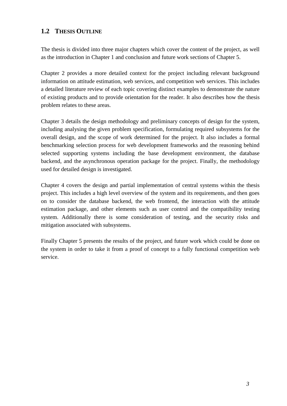#### <span id="page-10-0"></span>**1.2 THESIS OUTLINE**

The thesis is divided into three major chapters which cover the content of the project, as well as the introduction in [Chapter 1](#page-8-0) and conclusion and future work sections of [Chapter 5.](#page-46-0)

[Chapter 2](#page-11-0) provides a more detailed context for the project including relevant background information on attitude estimation, web services, and competition web services. This includes a detailed literature review of each topic covering distinct examples to demonstrate the nature of existing products and to provide orientation for the reader. It also describes how the thesis problem relates to these areas.

[Chapter 3](#page-21-0) details the design methodology and preliminary concepts of design for the system, including analysing the given problem specification, formulating required subsystems for the overall design, and the scope of work determined for the project. It also includes a formal benchmarking selection process for web development frameworks and the reasoning behind selected supporting systems including the base development environment, the database backend, and the asynchronous operation package for the project. Finally, the methodology used for detailed design is investigated.

[Chapter 4](#page-32-0) covers the design and partial implementation of central systems within the thesis project. This includes a high level overview of the system and its requirements, and then goes on to consider the database backend, the web frontend, the interaction with the attitude estimation package, and other elements such as user control and the compatibility testing system. Additionally there is some consideration of testing, and the security risks and mitigation associated with subsystems.

Finally [Chapter 5](#page-46-0) presents the results of the project, and future work which could be done on the system in order to take it from a proof of concept to a fully functional competition web service.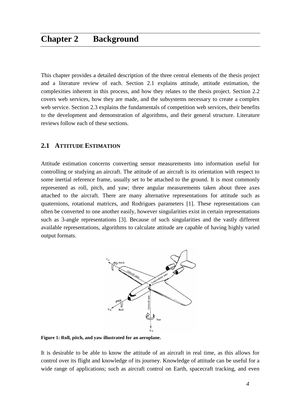### <span id="page-11-0"></span>**Chapter 2 Background**

This chapter provides a detailed description of the three central elements of the thesis project and a literature review of each. Section [2.1](#page-11-1) explains attitude, attitude estimation, the complexities inherent in this process, and how they relates to the thesis project. Section [2.2](#page-14-1) covers web services, how they are made, and the subsystems necessary to create a complex web service. Section [2.3](#page-17-0) explains the fundamentals of competition web services, their benefits to the development and demonstration of algorithms, and their general structure. Literature reviews follow each of these sections.

#### <span id="page-11-1"></span>**2.1 ATTITUDE ESTIMATION**

Attitude estimation concerns converting sensor measurements into information useful for controlling or studying an aircraft. The attitude of an aircraft is its orientation with respect to some inertial reference frame, usually set to be attached to the ground. It is most commonly represented as roll, pitch, and yaw; three angular measurements taken about three axes attached to the aircraft. There are many alternative representations for attitude such as quaternions, rotational matrices, and Rodrigues parameters [1]. These representations can often be converted to one another easily, however singularities exist in certain representations such as 3-angle representations [3]. Because of such singularities and the vastly different available representations, algorithms to calculate attitude are capable of having highly varied output formats.



<span id="page-11-2"></span>**Figure 1: Roll, pitch, and yaw illustrated for an aeroplane.** 

It is desirable to be able to know the attitude of an aircraft in real time, as this allows for control over its flight and knowledge of its journey. Knowledge of attitude can be useful for a wide range of applications; such as aircraft control on Earth, spacecraft tracking, and even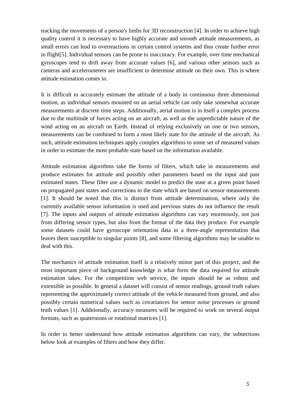tracking the movements of a person's limbs for 3D reconstruction [4]. In order to achieve high quality control it is necessary to have highly accurate and smooth attitude measurements, as small errors can lead to overreactions in certain control systems and thus create further error in flight[5]. Individual sensors can be prone to inaccuracy. For example, over time mechanical gyroscopes tend to drift away from accurate values [6], and various other sensors such as cameras and accelerometers are insufficient to determine attitude on their own. This is where attitude estimation comes in.

It is difficult to accurately estimate the attitude of a body in continuous three dimensional motion, as individual sensors mounted on an aerial vehicle can only take somewhat accurate measurements at discrete time steps. Additionally, aerial motion is in itself a complex process due to the multitude of forces acting on an aircraft, as well as the unpredictable nature of the wind acting on an aircraft on Earth. Instead of relying exclusively on one or two sensors, measurements can be combined to form a most likely state for the attitude of the aircraft. As such, attitude estimation techniques apply complex algorithms to some set of measured values in order to estimate the most probable state based on the information available.

Attitude estimation algorithms take the forms of filters, which take in measurements and produce estimates for attitude and possibly other parameters based on the input and past estimated states. These filter use a dynamic model to predict the state at a given point based on propagated past states and corrections to the state which are based on sensor measurements [1]. It should be noted that this is distinct from attitude determination, where only the currently available sensor information is used and previous states do not influence the result [7]. The inputs and outputs of attitude estimation algorithms can vary enormously, not just from differing sensor types, but also from the format of the data they produce. For example some datasets could have gyroscope orientation data in a three-angle representation that leaves them susceptible to singular points [8], and some filtering algorithms may be unable to deal with this.

The mechanics of attitude estimation itself is a relatively minor part of this project, and the most important piece of background knowledge is what form the data required for attitude estimation takes. For the competition web service, the inputs should be as robust and extensible as possible. In general a dataset will consist of sensor readings, ground truth values representing the approximately correct attitude of the vehicle measured from ground, and also possibly certain numerical values such as covariances for sensor noise processes or ground truth values [1]. Additionally, accuracy measures will be required to work on several output formats, such as quaternions or rotational matrices [1].

In order to better understand how attitude estimation algorithms can vary, the subsections below look at examples of filters and how they differ.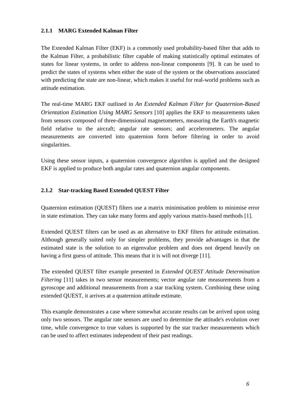#### <span id="page-13-0"></span>**2.1.1 MARG Extended Kalman Filter**

The Extended Kalman Filter (EKF) is a commonly used probability-based filter that adds to the Kalman Filter, a probabilistic filter capable of making statistically optimal estimates of states for linear systems, in order to address non-linear components [9]. It can be used to predict the states of systems when either the state of the system or the observations associated with predicting the state are non-linear, which makes it useful for real-world problems such as attitude estimation.

The real-time MARG EKF outlined in *An Extended Kalman Filter for Quaternion-Based Orientation Estimation Using MARG Sensors* [10] applies the EKF to measurements taken from sensors composed of three-dimensional magnetometers, measuring the Earth's magnetic field relative to the aircraft; angular rate sensors; and accelerometers. The angular measurements are converted into quaternion form before filtering in order to avoid singularities.

Using these sensor inputs, a quaternion convergence algorithm is applied and the designed EKF is applied to produce both angular rates and quaternion angular components.

#### <span id="page-13-1"></span>**2.1.2 Star-tracking Based Extended QUEST Filter**

Quaternion estimation (QUEST) filters use a matrix minimisation problem to minimise error in state estimation. They can take many forms and apply various matrix-based methods [1].

Extended QUEST filters can be used as an alternative to EKF filters for attitude estimation. Although generally suited only for simpler problems, they provide advantages in that the estimated state is the solution to an eigenvalue problem and does not depend heavily on having a first guess of attitude. This means that it is will not diverge [11].

The extended QUEST filter example presented in *Extended QUEST Attitude Determination Filtering* [11] takes in two sensor measurements; vector angular rate measurements from a gyroscope and additional measurements from a star tracking system. Combining these using extended QUEST, it arrives at a quaternion attitude estimate.

This example demonstrates a case where somewhat accurate results can be arrived upon using only two sensors. The angular rate sensors are used to determine the attitude's evolution over time, while convergence to true values is supported by the star tracker measurements which can be used to affect estimates independent of their past readings.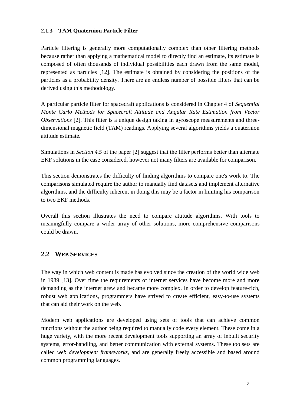#### <span id="page-14-0"></span>**2.1.3 TAM Quaternion Particle Filter**

Particle filtering is generally more computationally complex than other filtering methods because rather than applying a mathematical model to directly find an estimate, its estimate is composed of often thousands of individual possibilities each drawn from the same model, represented as particles [12]. The estimate is obtained by considering the positions of the particles as a probability density. There are an endless number of possible filters that can be derived using this methodology.

A particular particle filter for spacecraft applications is considered in Chapter 4 of *Sequential Monte Carlo Methods for Spacecraft Attitude and Angular Rate Estimation from Vector Observations* [2]. This filter is a unique design taking in gyroscope measurements and threedimensional magnetic field (TAM) readings. Applying several algorithms yields a quaternion attitude estimate.

Simulations in *Section 4.5* of the paper [2] suggest that the filter performs better than alternate EKF solutions in the case considered, however not many filters are available for comparison.

This section demonstrates the difficulty of finding algorithms to compare one's work to. The comparisons simulated require the author to manually find datasets and implement alternative algorithms, and the difficulty inherent in doing this may be a factor in limiting his comparison to two EKF methods.

Overall this section illustrates the need to compare attitude algorithms. With tools to meaningfully compare a wider array of other solutions, more comprehensive comparisons could be drawn.

#### <span id="page-14-1"></span>**2.2 WEB SERVICES**

The way in which web content is made has evolved since the creation of the world wide web in 1989 [13]. Over time the requirements of internet services have become more and more demanding as the internet grew and became more complex. In order to develop feature-rich, robust web applications, programmers have strived to create efficient, easy-to-use systems that can aid their work on the web.

Modern web applications are developed using sets of tools that can achieve common functions without the author being required to manually code every element. These come in a huge variety, with the more recent development tools supporting an array of inbuilt security systems, error-handling, and better communication with external systems. These toolsets are called *web development frameworks*, and are generally freely accessible and based around common programming languages.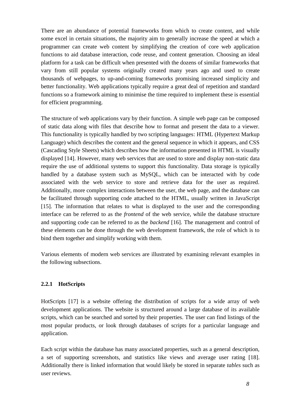There are an abundance of potential frameworks from which to create content, and while some excel in certain situations, the majority aim to generally increase the speed at which a programmer can create web content by simplifying the creation of core web application functions to aid database interaction, code reuse, and content generation. Choosing an ideal platform for a task can be difficult when presented with the dozens of similar frameworks that vary from still popular systems originally created many years ago and used to create thousands of webpages, to up-and-coming frameworks promising increased simplicity and better functionality. Web applications typically require a great deal of repetition and standard functions so a framework aiming to minimise the time required to implement these is essential for efficient programming.

The structure of web applications vary by their function. A simple web page can be composed of static data along with files that describe how to format and present the data to a viewer. This functionality is typically handled by two scripting languages: HTML (Hypertext Markup Language) which describes the content and the general sequence in which it appears, and CSS (Cascading Style Sheets) which describes how the information presented in HTML is visually displayed [14]. However, many web services that are used to store and display non-static data require the use of additional systems to support this functionality. Data storage is typically handled by a database system such as MySQL, which can be interacted with by code associated with the web service to store and retrieve data for the user as required. Additionally, more complex interactions between the user, the web page, and the database can be facilitated through supporting code attached to the HTML, usually written in JavaScript [15]. The information that relates to what is displayed to the user and the corresponding interface can be referred to as the *frontend* of the web service, while the database structure and supporting code can be referred to as the *backend* [16]. The management and control of these elements can be done through the web development framework, the role of which is to bind them together and simplify working with them.

Various elements of modern web services are illustrated by examining relevant examples in the following subsections.

#### <span id="page-15-0"></span>**2.2.1 HotScripts**

HotScripts [17] is a website offering the distribution of scripts for a wide array of web development applications. The website is structured around a large database of its available scripts, which can be searched and sorted by their properties. The user can find listings of the most popular products, or look through databases of scripts for a particular language and application.

Each script within the database has many associated properties, such as a general description, a set of supporting screenshots, and statistics like views and average user rating [18]. Additionally there is linked information that would likely be stored in separate *tables* such as user reviews.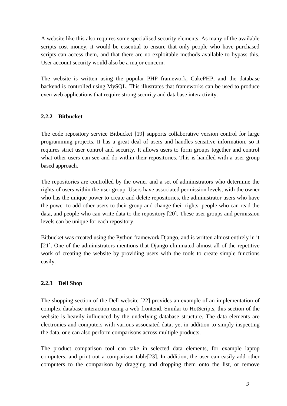A website like this also requires some specialised security elements. As many of the available scripts cost money, it would be essential to ensure that only people who have purchased scripts can access them, and that there are no exploitable methods available to bypass this. User account security would also be a major concern.

The website is written using the popular PHP framework, CakePHP, and the database backend is controlled using MySQL. This illustrates that frameworks can be used to produce even web applications that require strong security and database interactivity.

#### <span id="page-16-0"></span>**2.2.2 Bitbucket**

The code repository service Bitbucket [19] supports collaborative version control for large programming projects. It has a great deal of users and handles sensitive information, so it requires strict user control and security. It allows users to form groups together and control what other users can see and do within their repositories. This is handled with a user-group based approach.

The repositories are controlled by the owner and a set of administrators who determine the rights of users within the user group. Users have associated permission levels, with the owner who has the unique power to create and delete repositories, the administrator users who have the power to add other users to their group and change their rights, people who can read the data, and people who can write data to the repository [20]. These user groups and permission levels can be unique for each repository.

Bitbucket was created using the Python framework Django, and is written almost entirely in it [21]. One of the administrators mentions that Django eliminated almost all of the repetitive work of creating the website by providing users with the tools to create simple functions easily.

#### <span id="page-16-1"></span>**2.2.3 Dell Shop**

The shopping section of the Dell website [22] provides an example of an implementation of complex database interaction using a web frontend. Similar to HotScripts, this section of the website is heavily influenced by the underlying database structure. The data elements are electronics and computers with various associated data, yet in addition to simply inspecting the data, one can also perform comparisons across multiple products.

The product comparison tool can take in selected data elements, for example laptop computers, and print out a comparison table[23]. In addition, the user can easily add other computers to the comparison by dragging and dropping them onto the list, or remove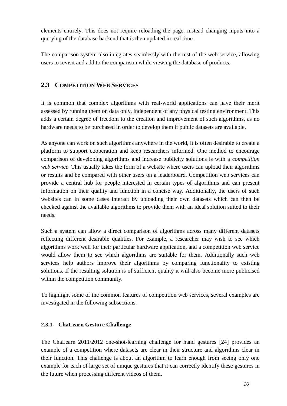elements entirely. This does not require reloading the page, instead changing inputs into a querying of the database backend that is then updated in real time.

The comparison system also integrates seamlessly with the rest of the web service, allowing users to revisit and add to the comparison while viewing the database of products.

#### <span id="page-17-0"></span>**2.3 COMPETITION WEB SERVICES**

It is common that complex algorithms with real-world applications can have their merit assessed by running them on data only, independent of any physical testing environment. This adds a certain degree of freedom to the creation and improvement of such algorithms, as no hardware needs to be purchased in order to develop them if public datasets are available.

As anyone can work on such algorithms anywhere in the world, it is often desirable to create a platform to support cooperation and keep researchers informed. One method to encourage comparison of developing algorithms and increase publicity solutions is with a *competition web service*. This usually takes the form of a website where users can upload their algorithms or results and be compared with other users on a leaderboard. Competition web services can provide a central hub for people interested in certain types of algorithms and can present information on their quality and function in a concise way. Additionally, the users of such websites can in some cases interact by uploading their own datasets which can then be checked against the available algorithms to provide them with an ideal solution suited to their needs.

Such a system can allow a direct comparison of algorithms across many different datasets reflecting different desirable qualities. For example, a researcher may wish to see which algorithms work well for their particular hardware application, and a competition web service would allow them to see which algorithms are suitable for them. Additionally such web services help authors improve their algorithms by comparing functionality to existing solutions. If the resulting solution is of sufficient quality it will also become more publicised within the competition community.

To highlight some of the common features of competition web services, several examples are investigated in the following subsections.

#### <span id="page-17-1"></span>**2.3.1 ChaLearn Gesture Challenge**

The ChaLearn 2011/2012 one-shot-learning challenge for hand gestures [24] provides an example of a competition where datasets are clear in their structure and algorithms clear in their function. This challenge is about an algorithm to learn enough from seeing only one example for each of large set of unique gestures that it can correctly identify these gestures in the future when processing different videos of them.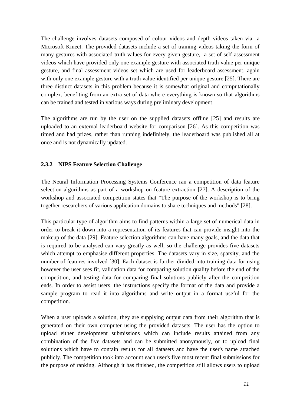The challenge involves datasets composed of colour videos and depth videos taken via a Microsoft Kinect. The provided datasets include a set of training videos taking the form of many gestures with associated truth values for every given gesture, a set of self-assessment videos which have provided only one example gesture with associated truth value per unique gesture, and final assessment videos set which are used for leaderboard assessment, again with only one example gesture with a truth value identified per unique gesture [25]. There are three distinct datasets in this problem because it is somewhat original and computationally complex, benefiting from an extra set of data where everything is known so that algorithms can be trained and tested in various ways during preliminary development.

The algorithms are run by the user on the supplied datasets offline [25] and results are uploaded to an external leaderboard website for comparison [26]. As this competition was timed and had prizes, rather than running indefinitely, the leaderboard was published all at once and is not dynamically updated.

#### <span id="page-18-0"></span>**2.3.2 NIPS Feature Selection Challenge**

The Neural Information Processing Systems Conference ran a competition of data feature selection algorithms as part of a workshop on feature extraction [27]. A description of the workshop and associated competition states that "The purpose of the workshop is to bring together researchers of various application domains to share techniques and methods" [28].

This particular type of algorithm aims to find patterns within a large set of numerical data in order to break it down into a representation of its features that can provide insight into the makeup of the data [29]. Feature selection algorithms can have many goals, and the data that is required to be analysed can vary greatly as well, so the challenge provides five datasets which attempt to emphasise different properties. The datasets vary in size, sparsity, and the number of features involved [30]. Each dataset is further divided into training data for using however the user sees fit, validation data for comparing solution quality before the end of the competition, and testing data for comparing final solutions publicly after the competition ends. In order to assist users, the instructions specify the format of the data and provide a sample program to read it into algorithms and write output in a format useful for the competition.

When a user uploads a solution, they are supplying output data from their algorithm that is generated on their own computer using the provided datasets. The user has the option to upload either development submissions which can include results attained from any combination of the five datasets and can be submitted anonymously, or to upload final solutions which have to contain results for all datasets and have the user's name attached publicly. The competition took into account each user's five most recent final submissions for the purpose of ranking. Although it has finished, the competition still allows users to upload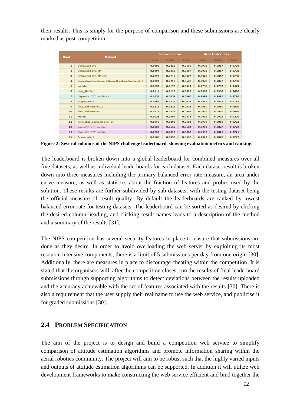their results. This is simply for the purpose of comparison and these submissions are clearly marked as post-competition.

|                | <b>Method</b>                                      | <b>Balanced Error</b> |              |             | <b>Area Under Curve</b> |              |             |
|----------------|----------------------------------------------------|-----------------------|--------------|-------------|-------------------------|--------------|-------------|
| <b>Rank</b>    |                                                    | <b>Train</b>          | <b>Valid</b> | <b>Test</b> | <b>Train</b>            | <b>Valid</b> | <b>Test</b> |
| $\mathbf{1}$   | <b>Optimized svc</b>                               | 0.0096                | 0.0213       | 0.0606      | 0.9978                  | 0.9867       | 0.9738      |
| $\overline{2}$ | <b>Optimized svc/TP</b>                            | 0.0094                | 0.0213       | 0.0607      | 0.9978                  | 0.9867       | 0.9738      |
| 3              | <b>Optimized svc/TP wcv</b>                        | 0.0094                | 0.0213       | 0.0607      | 0.9978                  | 0.9867       | 0.9738      |
| 4              | Normalization, Signal 2 Noise (Feature Ranking), S | 0.0094                | 0.0213       | 0.0607      | 0.9978                  | 0.9867       | 0.9738      |
| 5              | update                                             | 0.0159                | 0.0176       | 0.0614      | 0.9736                  | 0.9703       | 0.9429      |
| 6              | final the2nd                                       | 0.0111                | 0.0120       | 0.0622      | 0.9963                  | 0.9965       | 0.9680      |
| $\overline{z}$ | BayesNN-DFT-combo+v                                | 0.0037                | 0.0034       | 0.0648      | 0.9999                  | 0.9997       | 0.9720      |
| 8              | Aggregate 2                                        | 0.0208                | 0.0238       | 0.0652      | 0.9911                  | 0.9937       | 0.9718      |
| 9              | final submission 2                                 | 0.0211                | 0.0221       | 0.0653      | 0.9930                  | 0.9930       | 0.9660      |
| 10             | final submission                                   | 0.0211                | 0.0221       | 0.0661      | 0.9930                  | 0.9930       | 0.9660      |
| 11             | mixed                                              | 0.0025                | 0.0007       | 0.0675      | 0.9982                  | 0.9993       | 0.9290      |
| 12             | normalize-pacbank-svm-cv                           | 0.0069                | 0.0203       | 0.0681      | 0.9979                  | 0.9868       | 0.9702      |
| 13             | <b>BayesNN-DFT-combo</b>                           | 0.0039                | 0.0526       | 0.0684      | 0.9998                  | 0.9827       | 0.9722      |
| 14             | <b>BayesNN-DFT-combo</b>                           | 0.0037                | 0.0523       | 0.0687      | 0.9998                  | 0.9826       | 0.9721      |
| 15             | Aggregate 1                                        | 0.0188                | 0.0330       | 0.0690      | 0.9922                  | 0.9870       | 0.9722      |

<span id="page-19-1"></span>**Figure 2: Several columns of the NIPS challenge leaderboard, showing evaluation metrics and ranking.** 

The leaderboard is broken down into a global leaderboard for combined measures over all five datasets, as well as individual leaderboards for each dataset. Each dataset result is broken down into three measures including the primary balanced error rate measure, an area under curve measure, as well as statistics about the fraction of features and probes used by the solution. These results are further subdivided by sub-datasets, with the testing dataset being the official measure of result quality. By default the leaderboards are ranked by lowest balanced error rate for testing datasets. The leaderboard can be sorted as desired by clicking the desired column heading, and clicking result names leads to a description of the method and a summary of the results [31].

The NIPS competition has several security features in place to ensure that submissions are done as they desire. In order to avoid overloading the web server by exploiting its most resource intensive components, there is a limit of 5 submissions per day from one origin [30]. Additionally, there are measures in place to discourage cheating within the competition. It is stated that the organisers will, after the competition closes, run the results of final leaderboard submissions through supporting algorithms to detect deviations between the results uploaded and the accuracy achievable with the set of features associated with the results [30]. There is also a requirement that the user supply their real name to use the web service, and publicise it for graded submissions [30].

#### <span id="page-19-0"></span>**2.4 PROBLEM SPECIFICATION**

The aim of the project is to design and build a competition web service to simplify comparison of attitude estimation algorithms and promote information sharing within the aerial robotics community. The project will aim to be robust such that the highly varied inputs and outputs of attitude estimation algorithms can be supported. In addition it will utilize web development frameworks to make constructing the web service efficient and bind together the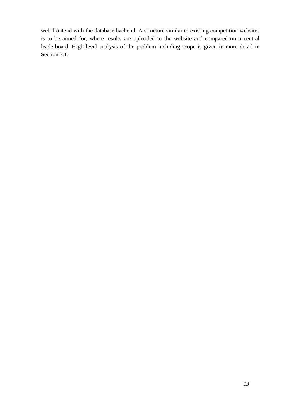web frontend with the database backend. A structure similar to existing competition websites is to be aimed for, where results are uploaded to the website and compared on a central leaderboard. High level analysis of the problem including scope is given in more detail in Section [3.1.](#page-21-1)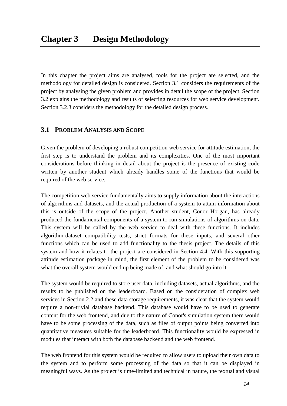## <span id="page-21-0"></span>**Chapter 3 Design Methodology**

In this chapter the project aims are analysed, tools for the project are selected, and the methodology for detailed design is considered. Section [3.1](#page-21-1) considers the requirements of the project by analysing the given problem and provides in detail the scope of the project. Section [3.2](#page-22-0) explains the methodology and results of selecting resources for web service development. Section [3.2.3](#page-29-0) considers the methodology for the detailed design process.

#### <span id="page-21-1"></span>**3.1 PROBLEM ANALYSIS AND SCOPE**

Given the problem of developing a robust competition web service for attitude estimation, the first step is to understand the problem and its complexities. One of the most important considerations before thinking in detail about the project is the presence of existing code written by another student which already handles some of the functions that would be required of the web service.

The competition web service fundamentally aims to supply information about the interactions of algorithms and datasets, and the actual production of a system to attain information about this is outside of the scope of the project. Another student, Conor Horgan, has already produced the fundamental components of a system to run simulations of algorithms on data. This system will be called by the web service to deal with these functions. It includes algorithm-dataset compatibility tests, strict formats for these inputs, and several other functions which can be used to add functionality to the thesis project. The details of this system and how it relates to the project are considered in Section [4.4.](#page-41-0) With this supporting attitude estimation package in mind, the first element of the problem to be considered was what the overall system would end up being made of, and what should go into it.

The system would be required to store user data, including datasets, actual algorithms, and the results to be published on the leaderboard. Based on the consideration of complex web services in Section [2.2](#page-14-1) and these data storage requirements, it was clear that the system would require a non-trivial database backend. This database would have to be used to generate content for the web frontend, and due to the nature of Conor's simulation system there would have to be some processing of the data, such as files of output points being converted into quantitative measures suitable for the leaderboard. This functionality would be expressed in modules that interact with both the database backend and the web frontend.

The web frontend for this system would be required to allow users to upload their own data to the system and to perform some processing of the data so that it can be displayed in meaningful ways. As the project is time-limited and technical in nature, the textual and visual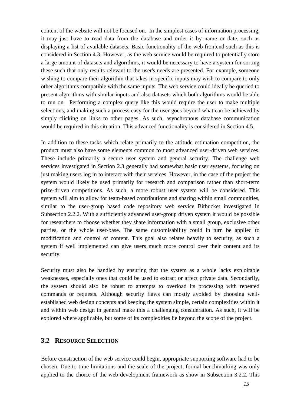content of the website will not be focused on. In the simplest cases of information processing, it may just have to read data from the database and order it by name or date, such as displaying a list of available datasets. Basic functionality of the web frontend such as this is considered in Section [4.3.](#page-37-0) However, as the web service would be required to potentially store a large amount of datasets and algorithms, it would be necessary to have a system for sorting these such that only results relevant to the user's needs are presented. For example, someone wishing to compare their algorithm that takes in specific inputs may wish to compare to only other algorithms compatible with the same inputs. The web service could ideally be queried to present algorithms with similar inputs and also datasets which both algorithms would be able to run on. Performing a complex query like this would require the user to make multiple selections, and making such a process easy for the user goes beyond what can be achieved by simply clicking on links to other pages. As such, asynchronous database communication would be required in this situation. This advanced functionality is considered in Section [4.5.](#page-42-0)

In addition to these tasks which relate primarily to the attitude estimation competition, the product must also have some elements common to most advanced user-driven web services. These include primarily a secure user system and general security. The challenge web services investigated in Section [2.3](#page-17-0) generally had somewhat basic user systems, focusing on just making users log in to interact with their services. However, in the case of the project the system would likely be used primarily for research and comparison rather than short-term prize-driven competitions. As such, a more robust user system will be considered. This system will aim to allow for team-based contributions and sharing within small communities, similar to the user-group based code repository web service Bitbucket investigated in Subsection [2.2.2.](#page-16-0) With a sufficiently advanced user-group driven system it would be possible for researchers to choose whether they share information with a small group, exclusive other parties, or the whole user-base. The same customisability could in turn be applied to modification and control of content. This goal also relates heavily to security, as such a system if well implemented can give users much more control over their content and its security.

Security must also be handled by ensuring that the system as a whole lacks exploitable weaknesses, especially ones that could be used to extract or affect private data. Secondarily, the system should also be robust to attempts to overload its processing with repeated commands or requests. Although security flaws can mostly avoided by choosing wellestablished web design concepts and keeping the system simple, certain complexities within it and within web design in general make this a challenging consideration. As such, it will be explored where applicable, but some of its complexities lie beyond the scope of the project.

#### <span id="page-22-0"></span>**3.2 RESOURCE SELECTION**

Before construction of the web service could begin, appropriate supporting software had to be chosen. Due to time limitations and the scale of the project, formal benchmarking was only applied to the choice of the web development framework as show in Subsection [3.2.2.](#page-24-0) This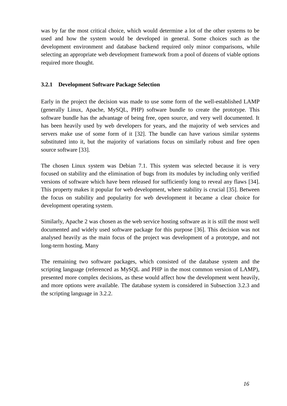was by far the most critical choice, which would determine a lot of the other systems to be used and how the system would be developed in general. Some choices such as the development environment and database backend required only minor comparisons, while selecting an appropriate web development framework from a pool of dozens of viable options required more thought.

#### <span id="page-23-0"></span>**3.2.1 Development Software Package Selection**

Early in the project the decision was made to use some form of the well-established LAMP (generally Linux, Apache, MySQL, PHP) software bundle to create the prototype. This software bundle has the advantage of being free, open source, and very well documented. It has been heavily used by web developers for years, and the majority of web services and servers make use of some form of it [32]. The bundle can have various similar systems substituted into it, but the majority of variations focus on similarly robust and free open source software [33].

The chosen Linux system was Debian 7.1. This system was selected because it is very focused on stability and the elimination of bugs from its modules by including only verified versions of software which have been released for sufficiently long to reveal any flaws [34]. This property makes it popular for web development, where stability is crucial [35]. Between the focus on stability and popularity for web development it became a clear choice for development operating system.

Similarly, Apache 2 was chosen as the web service hosting software as it is still the most well documented and widely used software package for this purpose [36]. This decision was not analysed heavily as the main focus of the project was development of a prototype, and not long-term hosting. Many

The remaining two software packages, which consisted of the database system and the scripting language (referenced as MySQL and PHP in the most common version of LAMP), presented more complex decisions, as these would affect how the development went heavily, and more options were available. The database system is considered in Subsection [3.2.3](#page-29-0) and the scripting language in [3.2.2.](#page-24-0)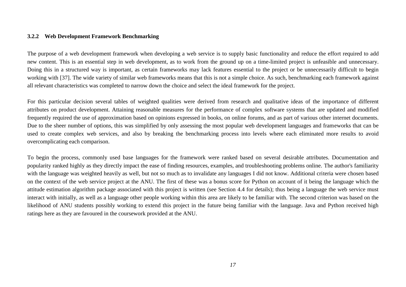#### **3.2.2 Web Development Framework Benchmarking**

The purpose of a web development framework when developing a web service is to supply basic functionality and reduce the effort required to add new content. This is an essential step in web development, as to work from the ground up on a time-limited project is unfeasible and unnecessary. Doing this in a structured way is important, as certain frameworks may lack features essential to the project or be unnecessarily difficult to begin working with [37]. The wide variety of similar web frameworks means that this is not a simple choice. As such, benchmarking each framework against all relevant characteristics was completed to narrow down the choice and select the ideal framework for the project.

For this particular decision several tables of weighted qualities were derived from research and qualitative ideas of the importance of different attributes on product development. Attaining reasonable measures for the performance of complex software systems that are updated and modified frequently required the use of approximation based on opinions expressed in books, on online forums, and as part of various other internet documents. Due to the sheer number of options, this was simplified by only assessing the most popular web development languages and frameworks that can be used to create complex web services, and also by breaking the benchmarking process into levels where each eliminated more results to avoid overcomplicating each comparison.

<span id="page-24-0"></span>To begin the process, commonly used base languages for the framework were ranked based on several desirable attributes. Documentation and popularity ranked highly as they directly impact the ease of finding resources, examples, and troubleshooting problems online. The author's familiarity with the language was weighted heavily as well, but not so much as to invalidate any languages I did not know. Additional criteria were chosen based on the context of the web service project at the ANU. The first of these was a bonus score for Python on account of it being the language which the attitude estimation algorithm package associated with this project is written (see Section [4.4](#page-41-1) for details); thus being a language the web service must interact with initially, as well as a language other people working within this area are likely to be familiar with. The second criterion was based on the likelihood of ANU students possibly working to extend this project in the future being familiar with the language. Java and Python received high ratings here as they are favoured in the coursework provided at the ANU.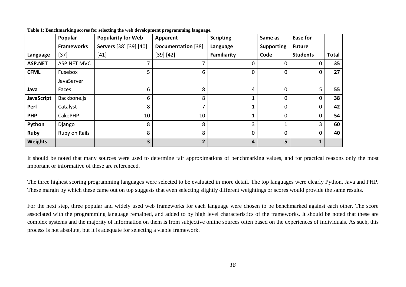|                   | Popular           | <b>Popularity for Web</b>     | Apparent           | <b>Scripting</b>   | Same as           | <b>Ease for</b> |              |
|-------------------|-------------------|-------------------------------|--------------------|--------------------|-------------------|-----------------|--------------|
|                   | <b>Frameworks</b> | <b>Servers</b> [38] [39] [40] | Documentation [38] | Language           | <b>Supporting</b> | <b>Future</b>   |              |
| Language          | $[37]$            | $[41]$                        | [39] [42]          | <b>Familiarity</b> | Code              | <b>Students</b> | <b>Total</b> |
| <b>ASP.NET</b>    | ASP.NET MVC       | ⇁                             | 7                  | $\mathbf 0$        | $\Omega$          | $\mathbf 0$     | 35           |
| <b>CFML</b>       | Fusebox           | 5                             | 6                  | $\mathbf 0$        | $\Omega$          | 0               | 27           |
|                   | JavaServer        |                               |                    |                    |                   |                 |              |
| Java              | Faces             | 6                             | 8                  | 4                  | 0                 | 5               | 55           |
| <b>JavaScript</b> | Backbone.js       | 6                             | 8                  | 1                  | $\Omega$          | 0               | 38           |
| Perl              | Catalyst          | 8                             | $\overline{7}$     | 1                  | $\Omega$          | 0               | 42           |
| <b>PHP</b>        | <b>CakePHP</b>    | 10                            | 10                 | 1                  | $\Omega$          | 0               | 54           |
| Python            | Django            | 8                             | 8                  | 3                  | 1                 | 3               | 60           |
| Ruby              | Ruby on Rails     | 8                             | 8                  | 0                  | $\Omega$          | 0               | 40           |
| <b>Weights</b>    |                   | 3                             | $\overline{2}$     | 4                  | 5                 | $\mathbf{1}$    |              |

**Table 1: Benchmarking scores for selecting the web development programming language.** 

<span id="page-25-0"></span>It should be noted that many sources were used to determine fair approximations of benchmarking values, and for practical reasons only the most important or informative of these are referenced.

The three highest scoring programming languages were selected to be evaluated in more detail. The top languages were clearly Python, Java and PHP. These margin by which these came out on top suggests that even selecting slightly different weightings or scores would provide the same results.

For the next step, three popular and widely used web frameworks for each language were chosen to be benchmarked against each other. The score associated with the programming language remained, and added to by high level characteristics of the frameworks. It should be noted that these are complex systems and the majority of information on them is from subjective online sources often based on the experiences of individuals. As such, this process is not absolute, but it is adequate for selecting a viable framework.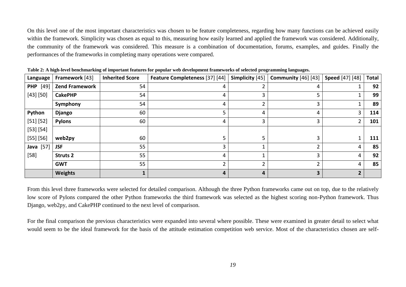On this level one of the most important characteristics was chosen to be feature completeness, regarding how many functions can be achieved easily within the framework. Simplicity was chosen as equal to this, measuring how easily learned and applied the framework was considered. Additionally, the community of the framework was considered. This measure is a combination of documentation, forums, examples, and guides. Finally the performances of the frameworks in completing many operations were compared.

| Language         | Framework [43]        | <b>Inherited Score</b> | Feature Completeness [37] [44] | Simplicity [45] | Community [46] [43] | <b>Speed</b> [47] [48] | Total |
|------------------|-----------------------|------------------------|--------------------------------|-----------------|---------------------|------------------------|-------|
| <b>PHP</b> [49]  | <b>Zend Framework</b> | 54                     | 4                              |                 | 4                   |                        | 92    |
| [43] [50]        | <b>CakePHP</b>        | 54                     | 4                              | 3               | 5                   |                        | 99    |
|                  | Symphony              | 54                     | 4                              | $\overline{2}$  | 3                   |                        | 89    |
| Python           | <b>Django</b>         | 60                     | 5                              | 4               | 4                   | 3                      | 114   |
| [51] [52]        | <b>Pylons</b>         | 60                     | 4                              | 3               | 3                   | $\overline{2}$         | 101   |
| [53] [54]        |                       |                        |                                |                 |                     |                        |       |
| [55] [56]        | web2py                | 60                     |                                | 5               | 3                   |                        | 111   |
| <b>Java</b> [57] | <b>JSF</b>            | 55                     | 3                              |                 | 2                   | 4                      | 85    |
| [58]             | <b>Struts 2</b>       | 55                     | 4                              |                 | 3                   | 4                      | 92    |
|                  | <b>GWT</b>            | 55                     |                                | 2               | 2                   | 4                      | 85    |
|                  | <b>Weights</b>        |                        | 4                              | 4               | 3                   | $\overline{2}$         |       |

**Table 2: A high-level benchmarking of important features for popular web development frameworks of selected programming languages.** 

<span id="page-26-0"></span>From this level three frameworks were selected for detailed comparison. Although the three Python frameworks came out on top, due to the relatively low score of Pylons compared the other Python frameworks the third framework was selected as the highest scoring non-Python framework. Thus Django, web2py, and CakePHP continued to the next level of comparison.

For the final comparison the previous characteristics were expanded into several where possible. These were examined in greater detail to select what would seem to be the ideal framework for the basis of the attitude estimation competition web service. Most of the characteristics chosen are self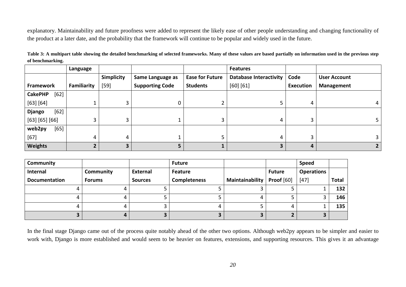explanatory. Maintainability and future proofness were added to represent the likely ease of other people understanding and changing functionality of the product at a later date, and the probability that the framework will continue to be popular and widely used in the future.

|                        | Language           |                   |                        |                        | <b>Features</b>               |                  |                     |
|------------------------|--------------------|-------------------|------------------------|------------------------|-------------------------------|------------------|---------------------|
|                        |                    | <b>Simplicity</b> | Same Language as       | <b>Ease for Future</b> | <b>Database Interactivity</b> | Code             | <b>User Account</b> |
| <b>Framework</b>       | <b>Familiarity</b> | $[59]$            | <b>Supporting Code</b> | <b>Students</b>        | [60] [61]                     | <b>Execution</b> | Management          |
| [62]<br><b>CakePHP</b> |                    |                   |                        |                        |                               |                  |                     |
| [63] [64]              |                    |                   | 0                      |                        |                               | 4                | 4                   |
| [62]<br><b>Django</b>  |                    |                   |                        |                        |                               |                  |                     |
| [63] [65] [66]         | 3                  |                   |                        |                        | 4                             | 3                |                     |
| [65]<br>web2py         |                    |                   |                        |                        |                               |                  |                     |
| [67]                   | 4                  | 4                 |                        |                        | 4                             | 3                |                     |
| Weights                |                    |                   | 5                      |                        |                               | 4                |                     |

**Table 3: A multipart table showing the detailed benchmarking of selected frameworks. Many of these values are based partially on information used in the previous step of benchmarking.** 

<span id="page-27-0"></span>

| Community            |               |                | <b>Future</b>       |                 |               | Speed             |              |
|----------------------|---------------|----------------|---------------------|-----------------|---------------|-------------------|--------------|
| Internal             | Community     | External       | <b>Feature</b>      |                 | <b>Future</b> | <b>Operations</b> |              |
| <b>Documentation</b> | <b>Forums</b> | <b>Sources</b> | <b>Completeness</b> | Maintainability | Proof $[60]$  | $[47]$            | <b>Total</b> |
|                      |               |                |                     |                 |               |                   | 132          |
|                      |               |                |                     |                 |               |                   | 146          |
|                      |               |                |                     |                 | 4             |                   | 135          |
|                      |               | э              |                     |                 |               |                   |              |

In the final stage Django came out of the process quite notably ahead of the other two options. Although web2py appears to be simpler and easier to work with, Django is more established and would seem to be heavier on features, extensions, and supporting resources. This gives it an advantage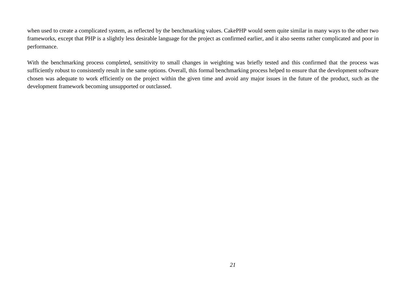when used to create a complicated system, as reflected by the benchmarking values. CakePHP would seem quite similar in many ways to the other two frameworks, except that PHP is a slightly less desirable language for the project as confirmed earlier, and it also seems rather complicated and poor in performance.

With the benchmarking process completed, sensitivity to small changes in weighting was briefly tested and this confirmed that the process was sufficiently robust to consistently result in the same options. Overall, this formal benchmarking process helped to ensure that the development software chosen was adequate to work efficiently on the project within the given time and avoid any major issues in the future of the product, such as the development framework becoming unsupported or outclassed.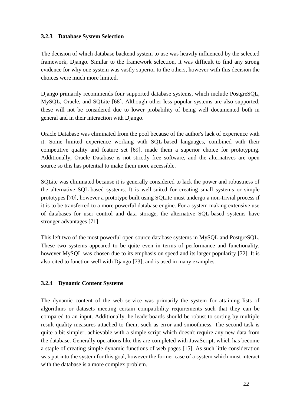#### <span id="page-29-0"></span>**3.2.3 Database System Selection**

The decision of which database backend system to use was heavily influenced by the selected framework, Django. Similar to the framework selection, it was difficult to find any strong evidence for why one system was vastly superior to the others, however with this decision the choices were much more limited.

Django primarily recommends four supported database systems, which include PostgreSQL, MySQL, Oracle, and SQLite [68]. Although other less popular systems are also supported, these will not be considered due to lower probability of being well documented both in general and in their interaction with Django.

Oracle Database was eliminated from the pool because of the author's lack of experience with it. Some limited experience working with SQL-based languages, combined with their competitive quality and feature set [69], made them a superior choice for prototyping. Additionally, Oracle Database is not strictly free software, and the alternatives are open source so this has potential to make them more accessible.

SQLite was eliminated because it is generally considered to lack the power and robustness of the alternative SQL-based systems. It is well-suited for creating small systems or simple prototypes [70], however a prototype built using SQLite must undergo a non-trivial process if it is to be transferred to a more powerful database engine. For a system making extensive use of databases for user control and data storage, the alternative SQL-based systems have stronger advantages [71].

This left two of the most powerful open source database systems in MySQL and PostgreSQL. These two systems appeared to be quite even in terms of performance and functionality, however MySQL was chosen due to its emphasis on speed and its larger popularity [72]. It is also cited to function well with Django [73], and is used in many examples.

#### <span id="page-29-1"></span>**3.2.4 Dynamic Content Systems**

The dynamic content of the web service was primarily the system for attaining lists of algorithms or datasets meeting certain compatibility requirements such that they can be compared to an input. Additionally, he leaderboards should be robust to sorting by multiple result quality measures attached to them, such as error and smoothness. The second task is quite a bit simpler, achievable with a simple script which doesn't require any new data from the database. Generally operations like this are completed with JavaScript, which has become a staple of creating simple dynamic functions of web pages [15]. As such little consideration was put into the system for this goal, however the former case of a system which must interact with the database is a more complex problem.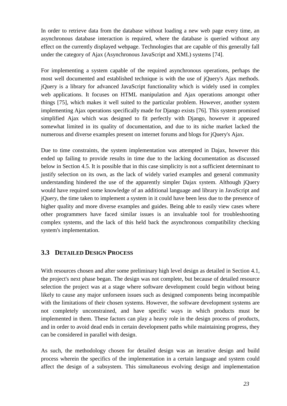In order to retrieve data from the database without loading a new web page every time, an asynchronous database interaction is required, where the database is queried without any effect on the currently displayed webpage. Technologies that are capable of this generally fall under the category of Ajax (Asynchronous JavaScript and XML) systems [74].

For implementing a system capable of the required asynchronous operations, perhaps the most well documented and established technique is with the use of jQuery's Ajax methods. jQuery is a library for advanced JavaScript functionality which is widely used in complex web applications. It focuses on HTML manipulation and Ajax operations amongst other things [75], which makes it well suited to the particular problem. However, another system implementing Ajax operations specifically made for Django exists [76]. This system promised simplified Ajax which was designed to fit perfectly with Django, however it appeared somewhat limited in its quality of documentation, and due to its niche market lacked the numerous and diverse examples present on internet forums and blogs for jQuery's Ajax.

Due to time constraints, the system implementation was attempted in Dajax, however this ended up failing to provide results in time due to the lacking documentation as discussed below in Section [4.5.](#page-42-0) It is possible that in this case simplicity is not a sufficient determinant to justify selection on its own, as the lack of widely varied examples and general community understanding hindered the use of the apparently simpler Dajax system. Although jQuery would have required some knowledge of an additional language and library in JavaScript and jQuery, the time taken to implement a system in it could have been less due to the presence of higher quality and more diverse examples and guides. Being able to easily view cases where other programmers have faced similar issues is an invaluable tool for troubleshooting complex systems, and the lack of this held back the asynchronous compatibility checking system's implementation.

#### <span id="page-30-0"></span>**3.3 DETAILED DESIGN PROCESS**

With resources chosen and after some preliminary high level design as detailed in Section [4.1,](#page-32-1) the project's next phase began. The design was not complete, but because of detailed resource selection the project was at a stage where software development could begin without being likely to cause any major unforseen issues such as designed components being incompatible with the limitations of their chosen systems. However, the software development systems are not completely unconstrained, and have specific ways in which products must be implemented in them. These factors can play a heavy role in the design process of products, and in order to avoid dead ends in certain development paths while maintaining progress, they can be considered in parallel with design.

As such, the methodology chosen for detailed design was an iterative design and build process wherein the specifics of the implementation in a certain language and system could affect the design of a subsystem. This simultaneous evolving design and implementation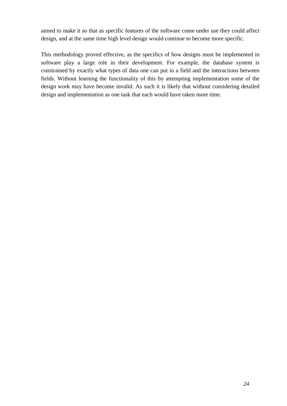aimed to make it so that as specific features of the software come under use they could affect design, and at the same time high level design would continue to become more specific.

This methodology proved effective, as the specifics of how designs must be implemented in software play a large role in their development. For example, the database system is constrained by exactly what types of data one can put in a field and the interactions between fields. Without learning the functionality of this by attempting implementation some of the design work may have become invalid. As such it is likely that without considering detailed design and implementation as one task that each would have taken more time.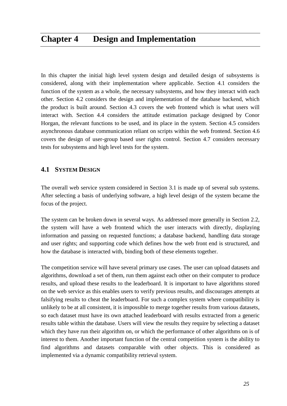## <span id="page-32-0"></span>**Chapter 4 Design and Implementation**

In this chapter the initial high level system design and detailed design of subsystems is considered, along with their implementation where applicable. Section [4.1](#page-32-1) considers the function of the system as a whole, the necessary subsystems, and how they interact with each other. Section [4.2](#page-34-0) considers the design and implementation of the database backend, which the product is built around. Section [4.3](#page-37-0) covers the web frontend which is what users will interact with. Section [4.4](#page-41-0) considers the attitude estimation package designed by Conor Horgan, the relevant functions to be used, and its place in the system. Section [4.5](#page-42-0) considers asynchronous database communication reliant on scripts within the web frontend. Section [4.6](#page-43-0) covers the design of user-group based user rights control. Section [4.7](#page-44-0) considers necessary tests for subsystems and high level tests for the system.

#### <span id="page-32-1"></span>**4.1 SYSTEM DESIGN**

The overall web service system considered in Section [3.1](#page-21-1) is made up of several sub systems. After selecting a basis of underlying software, a high level design of the system became the focus of the project.

The system can be broken down in several ways. As addressed more generally in Section [2.2,](#page-14-1) the system will have a web frontend which the user interacts with directly, displaying information and passing on requested functions; a database backend, handling data storage and user rights; and supporting code which defines how the web front end is structured, and how the database is interacted with, binding both of these elements together.

The competition service will have several primary use cases. The user can upload datasets and algorithms, download a set of them, run them against each other on their computer to produce results, and upload these results to the leaderboard. It is important to have algorithms stored on the web service as this enables users to verify previous results, and discourages attempts at falsifying results to cheat the leaderboard. For such a complex system where compatibility is unlikely to be at all consistent, it is impossible to merge together results from various datasets, so each dataset must have its own attached leaderboard with results extracted from a generic results table within the database. Users will view the results they require by selecting a dataset which they have run their algorithm on, or which the performance of other algorithms on is of interest to them. Another important function of the central competition system is the ability to find algorithms and datasets comparable with other objects. This is considered as implemented via a dynamic compatibility retrieval system.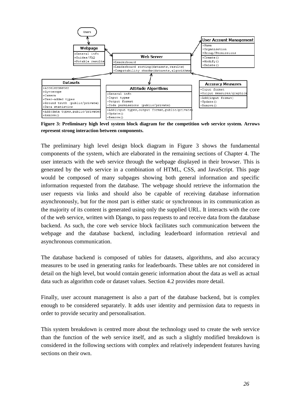

<span id="page-33-0"></span>**Figure 3: Preliminary high level system block diagram for the competition web service system. Arrows represent strong interaction between components.**

The preliminary high level design block diagram in [Figure 3](#page-33-0) shows the fundamental components of the system, which are elaborated in the remaining sections of [Chapter 4.](#page-32-0) The user interacts with the web service through the webpage displayed in their browser. This is generated by the web service in a combination of HTML, CSS, and JavaScript. This page would be composed of many subpages showing both general information and specific information requested from the database. The webpage should retrieve the information the user requests via links and should also be capable of receiving database information asynchronously, but for the most part is either static or synchronous in its communication as the majority of its content is generated using only the supplied URL. It interacts with the core of the web service, written with Django, to pass requests to and receive data from the database backend. As such, the core web service block facilitates such communication between the webpage and the database backend, including leaderboard information retrieval and asynchronous communication.

The database backend is composed of tables for datasets, algorithms, and also accuracy measures to be used in generating ranks for leaderboards. These tables are not considered in detail on the high level, but would contain generic information about the data as well as actual data such as algorithm code or dataset values. Section [4.2](#page-34-0) provides more detail.

Finally, user account management is also a part of the database backend, but is complex enough to be considered separately. It adds user identity and permission data to requests in order to provide security and personalisation.

This system breakdown is centred more about the technology used to create the web service than the function of the web service itself, and as such a slightly modified breakdown is considered in the following sections with complex and relatively independent features having sections on their own.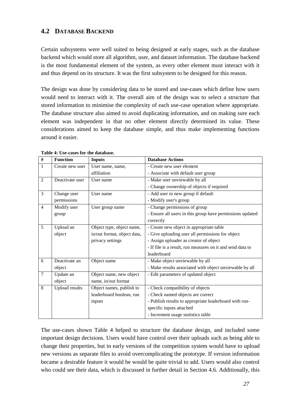#### <span id="page-34-0"></span>**4.2 DATABASE BACKEND**

Certain subsystems were well suited to being designed at early stages, such as the database backend which would store all algorithm, user, and dataset information. The database backend is the most fundamental element of the system, as every other element must interact with it and thus depend on its structure. It was the first subsystem to be designed for this reason.

The design was done by considering data to be stored and use-cases which define how users would need to interact with it. The overall aim of the design was to select a structure that stored information to minimise the complexity of each use-case operation where appropriate. The database structure also aimed to avoid duplicating information, and on making sure each element was independent in that no other element directly determined its value. These considerations aimed to keep the database simple, and thus make implementing functions around it easier.

| $\#$           | <b>Function</b>       | <b>Inputs</b>               | <b>Database Actions</b>                                    |
|----------------|-----------------------|-----------------------------|------------------------------------------------------------|
| $\mathbf{1}$   | Create new user       | User name, name,            | - Create new user element                                  |
|                |                       | affiliation                 | - Associate with default user group                        |
| $\overline{2}$ | Deactivate user       | User name                   | - Make user unviewable by all                              |
|                |                       |                             | - Change ownership of objects if required                  |
| 3              | Change user           | User name                   | - Add user to new group if default                         |
|                | permissions           |                             | - Modify user's group                                      |
| $\overline{4}$ | Modify user           | User group name             | - Change permissions of group                              |
|                | group                 |                             | - Ensure all users in this group have permissions updated  |
|                |                       |                             | correctly                                                  |
| 5              | Upload an             | Object type, object name,   | - Create new object in appropriate table                   |
|                | object                | in/out format, object data, | - Give uploading user all permissions for object           |
|                |                       | privacy settings            | - Assign uploader as creator of object                     |
|                |                       |                             | - If file is a result, run measures on it and send data to |
|                |                       |                             | leaderboard                                                |
| 6              | Deactivate an         | Object name                 | - Make object unviewable by all                            |
|                | object                |                             | - Make results associated with object unviewable by all    |
| 7              | Update an             | Object name, new object     | - Edit parameters of updated object                        |
|                | object                | name, in/out format         |                                                            |
| 8              | <b>Upload results</b> | Object names, publish to    | - Check compatibility of objects                           |
|                |                       | leaderboard boolean, run    | - Check named objects are correct                          |
|                |                       | inputs                      | - Publish results to appropriate leaderboard with run-     |
|                |                       |                             | specific inputs attached                                   |
|                |                       |                             | - Increment usage statistics table                         |

<span id="page-34-1"></span>**Table 4: Use-cases for the database.** 

The use-cases shown [Table 4](#page-34-1) helped to structure the database design, and included some important design decisions. Users would have control over their uploads such as being able to change their properties, but in early versions of the competition system would have to upload new versions as separate files to avoid overcomplicating the prototype. If version information became a desirable feature it would be would be quite trivial to add. Users would also control who could see their data, which is discussed in further detail in Section [4.6.](#page-43-0) Additionally, this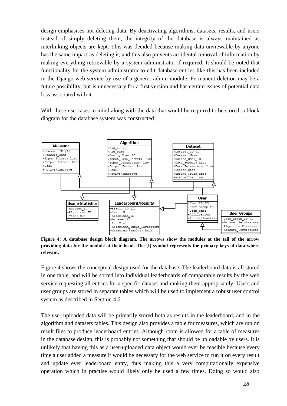design emphasises not deleting data. By deactivating algorithms, datasets, results, and users instead of simply deleting them, the integrity of the database is always maintained as interlinking objects are kept. This was decided because making data unviewable by anyone has the same impact as deleting it, and this also prevents accidental removal of information by making everything retrievable by a system administrator if required. It should be noted that functionality for the system administrator to edit database entries like this has been included in the Django web service by use of a generic admin module. Permanent deletion may be a future possibility, but is unnecessary for a first version and has certain issues of potential data loss associated with it.

With these use-cases in mind along with the data that would be required to be stored, a block diagram for the database system was constructed.



<span id="page-35-0"></span>**Figure 4: A database design block diagram. The arrows show the modules at the tail of the arrow providing data for the module at their head. The [I] symbol represents the primary keys of data where relevant.** 

[Figure 4](#page-35-0) shows the conceptual design used for the database. The leaderboard data is all stored in one table, and will be sorted into individual leaderboards of comparable results by the web service requesting all entries for a specific dataset and ranking them appropriately. Users and user groups are stored in separate tables which will be used to implement a robust user control system as described in Section [4.6.](#page-43-0)

The user-uploaded data will be primarily stored both as results in the leaderboard, and in the algorithm and datasets tables. This design also provides a table for measures, which are run on result files to produce leaderboard entries. Although room is allowed for a table of measures in the database design, this is probably not something that should be uploadable by users. It is unlikely that having this as a user-uploaded data object would ever be feasible because every time a user added a measure it would be necessary for the web service to run it on every result and update ever leaderboard entry, thus making this a very computationally expensive operation which in practise would likely only be used a few times. Doing so would also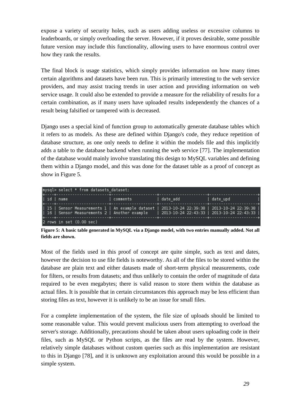expose a variety of security holes, such as users adding useless or excessive columns to leaderboards, or simply overloading the server. However, if it proves desirable, some possible future version may include this functionality, allowing users to have enormous control over how they rank the results.

The final block is usage statistics, which simply provides information on how many times certain algorithms and datasets have been run. This is primarily interesting to the web service providers, and may assist tracing trends in user action and providing information on web service usage. It could also be extended to provide a measure for the reliability of results for a certain combination, as if many users have uploaded results independently the chances of a result being falsified or tampered with is decreased.

Django uses a special kind of function group to automatically generate database tables which it refers to as models. As these are defined within Django's code, they reduce repetition of database structure, as one only needs to define it within the models file and this implicitly adds a table to the database backend when running the web service [77]. The implementation of the database would mainly involve translating this design to MySQL variables and defining them within a Django model, and this was done for the dataset table as a proof of concept as show in [Figure 5.](#page-36-0)

|           | mysql> select * from datasets dataset;                                                                                                           |          |            |                                           |
|-----------|--------------------------------------------------------------------------------------------------------------------------------------------------|----------|------------|-------------------------------------------|
| id   name |                                                                                                                                                  | comments | l date add | date_upd                                  |
|           | 15   Sensor Measurements 1   An example dataset   2013-10-24 22:39:38   2013-10-24 22:39:38  <br>   16   Sensor Measurements 2   Another example |          |            | 2013-10-24 22:43:33   2013-10-24 22:43:33 |
|           | $2$ rows in set $(0.00$ sec)                                                                                                                     |          |            |                                           |

<span id="page-36-0"></span>**Figure 5: A basic table generated in MySQL via a Django model, with two entries manually added. Not all fields are shown.**

Most of the fields used in this proof of concept are quite simple, such as text and dates, however the decision to use file fields is noteworthy. As all of the files to be stored within the database are plain text and either datasets made of short-term physical measurements, code for filters, or results from datasets; and thus unlikely to contain the order of magnitude of data required to be even megabytes; there is valid reason to store them within the database as actual files. It is possible that in certain circumstances this approach may be less efficient than storing files as text, however it is unlikely to be an issue for small files.

For a complete implementation of the system, the file size of uploads should be limited to some reasonable value. This would prevent malicious users from attempting to overload the server's storage. Additionally, precautions should be taken about users uploading code in their files, such as MySQL or Python scripts, as the files are read by the system. However, relatively simple databases without custom queries such as this implementation are resistant to this in Django [78], and it is unknown any exploitation around this would be possible in a simple system.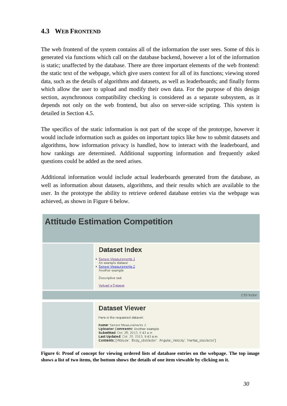#### <span id="page-37-0"></span>**4.3 WEB FRONTEND**

The web frontend of the system contains all of the information the user sees. Some of this is generated via functions which call on the database backend, however a lot of the information is static; unaffected by the database. There are three important elements of the web frontend: the static text of the webpage, which give users context for all of its functions; viewing stored data, such as the details of algorithms and datasets, as well as leaderboards; and finally forms which allow the user to upload and modify their own data. For the purpose of this design section, asynchronous compatibility checking is considered as a separate subsystem, as it depends not only on the web frontend, but also on server-side scripting. This system is detailed in Section [4.5.](#page-42-0)

The specifics of the static information is not part of the scope of the prototype, however it would include information such as guides on important topics like how to submit datasets and algorithms, how information privacy is handled, how to interact with the leaderboard, and how rankings are determined. Additional supporting information and frequently asked questions could be added as the need arises.

Additional information would include actual leaderboards generated from the database, as well as information about datasets, algorithms, and their results which are available to the user. In the prototype the ability to retrieve ordered database entries via the webpage was achieved, as shown in Figure 6 below.



<span id="page-37-1"></span>**Figure 6: Proof of concept for viewing ordered lists of database entries on the webpage. The top image shows a list of two items, the bottom shows the details of one item viewable by clicking on it.**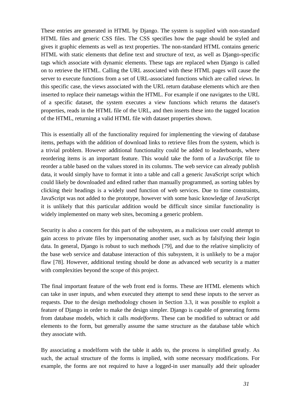These entries are generated in HTML by Django. The system is supplied with non-standard HTML files and generic CSS files. The CSS specifies how the page should be styled and gives it graphic elements as well as text properties. The non-standard HTML contains generic HTML with static elements that define text and structure of text, as well as Django-specific tags which associate with dynamic elements. These tags are replaced when Django is called on to retrieve the HTML. Calling the URL associated with these HTML pages will cause the server to execute functions from a set of URL-associated functions which are called *views*. In this specific case, the views associated with the URL return database elements which are then inserted to replace their nametags within the HTML. For example if one navigates to the URL of a specific dataset, the system executes a view functions which returns the dataset's properties, reads in the HTML file of the URL, and then inserts these into the tagged location of the HTML, returning a valid HTML file with dataset properties shown.

This is essentially all of the functionality required for implementing the viewing of database items, perhaps with the addition of download links to retrieve files from the system, which is a trivial problem. However additional functionality could be added to leaderboards, where reordering items is an important feature. This would take the form of a JavaScript file to reorder a table based on the values stored in its columns. The web service can already publish data, it would simply have to format it into a table and call a generic JavaScript script which could likely be downloaded and edited rather than manually programmed, as sorting tables by clicking their headings is a widely used function of web services. Due to time constraints, JavaScript was not added to the prototype, however with some basic knowledge of JavaScript it is unlikely that this particular addition would be difficult since similar functionality is widely implemented on many web sites, becoming a generic problem.

Security is also a concern for this part of the subsystem, as a malicious user could attempt to gain access to private files by impersonating another user, such as by falsifying their login data. In general, Django is robust to such methods [79], and due to the relative simplicity of the base web service and database interaction of this subsystem, it is unlikely to be a major flaw [78]. However, additional testing should be done as advanced web security is a matter with complexities beyond the scope of this project.

The final important feature of the web front end is forms. These are HTML elements which can take in user inputs, and when executed they attempt to send these inputs to the server as requests. Due to the design methodology chosen in Section [3.3,](#page-30-0) it was possible to exploit a feature of Django in order to make the design simpler. Django is capable of generating forms from database models, which it calls *modelforms*. These can be modified to subtract or add elements to the form, but generally assume the same structure as the database table which they associate with.

By associating a modelform with the table it adds to, the process is simplified greatly. As such, the actual structure of the forms is implied, with some necessary modifications. For example, the forms are not required to have a logged-in user manually add their uploader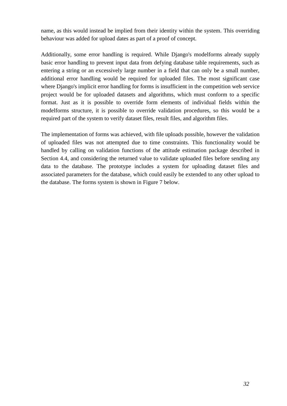name, as this would instead be implied from their identity within the system. This overriding behaviour was added for upload dates as part of a proof of concept.

Additionally, some error handling is required. While Django's modelforms already supply basic error handling to prevent input data from defying database table requirements, such as entering a string or an excessively large number in a field that can only be a small number, additional error handling would be required for uploaded files. The most significant case where Django's implicit error handling for forms is insufficient in the competition web service project would be for uploaded datasets and algorithms, which must conform to a specific format. Just as it is possible to override form elements of individual fields within the modelforms structure, it is possible to override validation procedures, so this would be a required part of the system to verify dataset files, result files, and algorithm files.

The implementation of forms was achieved, with file uploads possible, however the validation of uploaded files was not attempted due to time constraints. This functionality would be handled by calling on validation functions of the attitude estimation package described in Section [4.4,](#page-41-0) and considering the returned value to validate uploaded files before sending any data to the database. The prototype includes a system for uploading dataset files and associated parameters for the database, which could easily be extended to any other upload to the database. The forms system is shown in [Figure 7](#page-40-0) below.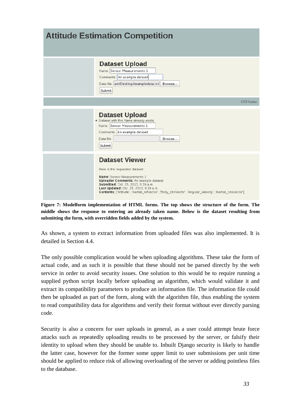| <b>Attitude Estimation Competition</b>                                                                                                                                                                                                                                                                                              |
|-------------------------------------------------------------------------------------------------------------------------------------------------------------------------------------------------------------------------------------------------------------------------------------------------------------------------------------|
| <b>Dataset Upload</b><br>Name: Sensor Measurements 1<br>Comments: An example dataset<br>Data file:   am/Desktop/exampledata.txt  Browse<br>Submit                                                                                                                                                                                   |
| CSS footer                                                                                                                                                                                                                                                                                                                          |
| <b>Dataset Upload</b><br>· Dataset with this Name already exists.<br>Name: Sensor Measurements 1<br>Comments: An example dataset<br>Data file:<br>Browse<br>Submit                                                                                                                                                                  |
| <b>Dataset Viewer</b><br>Here is the requested dataset:<br>Name: Sensor Measurements 1<br>Uploader Comments: An example dataset<br><b>Submitted:</b> Oct. 25, 2013, 9:39 a.m.<br>Last Updated: Oct. 25, 2013, 9:39 a.m.<br>Contents: ['Attitude', 'Inertial refVector', 'Body obsVector', 'Angular Velocity', 'Inertial obsVector'] |

<span id="page-40-0"></span>**Figure 7: Modelform implementation of HTML forms. The top shows the structure of the form. The middle shows the response to entering an already taken name. Below is the dataset resulting from submitting the form, with overridden fields added by the system.**

As shown, a system to extract information from uploaded files was also implemented. It is detailed in Section [4.4.](#page-41-0)

The only possible complication would be when uploading algorithms. These take the form of actual code, and as such it is possible that these should not be parsed directly by the web service in order to avoid security issues. One solution to this would be to require running a supplied python script locally before uploading an algorithm, which would validate it and extract its compatibility parameters to produce an information file. The information file could then be uploaded as part of the form, along with the algorithm file, thus enabling the system to read compatibility data for algorithms and verify their format without ever directly parsing code.

Security is also a concern for user uploads in general, as a user could attempt brute force attacks such as repeatedly uploading results to be processed by the server, or falsify their identity to upload when they should be unable to. Inbuilt Django security is likely to handle the latter case, however for the former some upper limit to user submissions per unit time should be applied to reduce risk of allowing overloading of the server or adding pointless files to the database.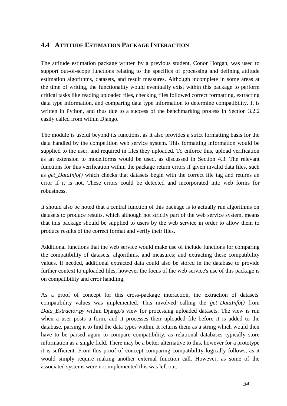#### <span id="page-41-1"></span><span id="page-41-0"></span>**4.4 ATTITUDE ESTIMATION PACKAGE INTERACTION**

The attitude estimation package written by a previous student, Conor Horgan, was used to support out-of-scope functions relating to the specifics of processing and defining attitude estimation algorithms, datasets, and result measures. Although incomplete in some areas at the time of writing, the functionality would eventually exist within this package to perform critical tasks like reading uploaded files, checking files followed correct formatting, extracting data type information, and comparing data type information to determine compatibility. It is written in Python, and thus due to a success of the benchmarking process in Section [3.2.2](#page-24-0) easily called from within Django.

The module is useful beyond its functions, as it also provides a strict formatting basis for the data handled by the competition web service system. This formatting information would be supplied to the user, and required in files they uploaded. To enforce this, upload verification as an extension to modelforms would be used, as discussed in Section [4.3.](#page-37-0) The relevant functions for this verification within the package return errors if given invalid data files, such as *get\_DataInfo()* which checks that datasets begin with the correct file tag and returns an error if it is not. These errors could be detected and incorporated into web forms for robustness.

It should also be noted that a central function of this package is to actually run algorithms on datasets to produce results, which although not strictly part of the web service system, means that this package should be supplied to users by the web service in order to allow them to produce results of the correct format and verify their files.

Additional functions that the web service would make use of include functions for comparing the compatibility of datasets, algorithms, and measures; and extracting these compatibility values. If needed, additional extracted data could also be stored in the database to provide further context to uploaded files, however the focus of the web service's use of this package is on compatibility and error handling.

As a proof of concept for this cross-package interaction, the extraction of datasets' compatibility values was implemented. This involved calling the *get\_DataInfo()* from *Data\_Extractor.py* within Django's view for processing uploaded datasets. The view is run when a user posts a form, and it processes their uploaded file before it is added to the database, parsing it to find the data types within. It returns them as a string which would then have to be parsed again to compare compatibility, as relational databases typically store information as a single field. There may be a better alternative to this, however for a prototype it is sufficient. From this proof of concept comparing compatibility logically follows, as it would simply require making another external function call. However, as some of the associated systems were not implemented this was left out.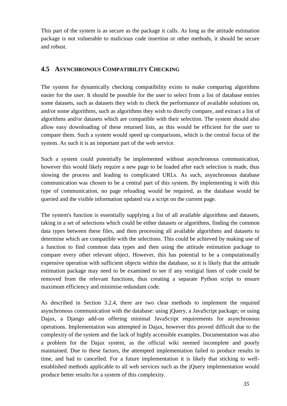This part of the system is as secure as the package it calls. As long as the attitude estimation package is not vulnerable to malicious code insertion or other methods, it should be secure and robust.

#### <span id="page-42-0"></span>**4.5 ASYNCHRONOUS COMPATIBILITY CHECKING**

The system for dynamically checking compatibility exists to make comparing algorithms easier for the user. It should be possible for the user to select from a list of database entries some datasets, such as datasets they wish to check the performance of available solutions on, and/or some algorithms, such as algorithms they wish to directly compare, and extract a list of algorithms and/or datasets which are compatible with their selection. The system should also allow easy downloading of these returned lists, as this would be efficient for the user to compare them. Such a system would speed up comparisons, which is the central focus of the system. As such it is an important part of the web service.

Such a system could potentially be implemented without asynchronous communication, however this would likely require a new page to be loaded after each selection is made, thus slowing the process and leading to complicated URLs. As such, asynchronous database communication was chosen to be a central part of this system. By implementing it with this type of communication, no page reloading would be required, as the database would be queried and the visible information updated via a script on the current page.

The system's function is essentially supplying a list of all available algorithms and datasets, taking in a set of selections which could be either datasets or algorithms, finding the common data types between these files, and then processing all available algorithms and datasets to determine which are compatible with the selections. This could be achieved by making use of a function to find common data types and then using the attitude estimation package to compare every other relevant object. However, this has potential to be a computationally expensive operation with sufficient objects within the database, so it is likely that the attitude estimation package may need to be examined to see if any vestigial lines of code could be removed from the relevant functions, thus creating a separate Python script to ensure maximum efficiency and minimise redundant code.

As described in Section [3.2.4,](#page-29-1) there are two clear methods to implement the required asynchronous communication with the database: using jQuery, a JavaScript package; or using Dajax, a Django add-on offering minimal JavaScript requirements for asynchronous operations. Implementation was attempted in Dajax, however this proved difficult due to the complexity of the system and the lack of highly accessible examples. Documentation was also a problem for the Dajax system, as the official wiki seemed incomplete and poorly maintained. Due to these factors, the attempted implementation failed to produce results in time, and had to cancelled. For a future implementation it is likely that sticking to wellestablished methods applicable to all web services such as the jQuery implementation would produce better results for a system of this complexity.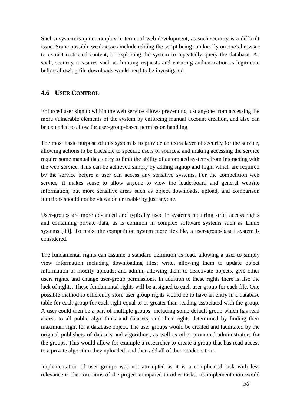Such a system is quite complex in terms of web development, as such security is a difficult issue. Some possible weaknesses include editing the script being run locally on one's browser to extract restricted content, or exploiting the system to repeatedly query the database. As such, security measures such as limiting requests and ensuring authentication is legitimate before allowing file downloads would need to be investigated.

#### <span id="page-43-0"></span>**4.6 USER CONTROL**

Enforced user signup within the web service allows preventing just anyone from accessing the more vulnerable elements of the system by enforcing manual account creation, and also can be extended to allow for user-group-based permission handling.

The most basic purpose of this system is to provide an extra layer of security for the service, allowing actions to be traceable to specific users or sources, and making accessing the service require some manual data entry to limit the ability of automated systems from interacting with the web service. This can be achieved simply by adding signup and login which are required by the service before a user can access any sensitive systems. For the competition web service, it makes sense to allow anyone to view the leaderboard and general website information, but more sensitive areas such as object downloads, upload, and comparison functions should not be viewable or usable by just anyone.

User-groups are more advanced and typically used in systems requiring strict access rights and containing private data, as is common in complex software systems such as Linux systems [80]. To make the competition system more flexible, a user-group-based system is considered.

The fundamental rights can assume a standard definition as read, allowing a user to simply view information including downloading files; write, allowing them to update object information or modify uploads; and admin, allowing them to deactivate objects, give other users rights, and change user-group permissions. In addition to these rights there is also the lack of rights. These fundamental rights will be assigned to each user group for each file. One possible method to efficiently store user group rights would be to have an entry in a database table for each group for each right equal to or greater than reading associated with the group. A user could then be a part of multiple groups, including some default group which has read access to all public algorithms and datasets, and their rights determined by finding their maximum right for a database object. The user groups would be created and facilitated by the original publishers of datasets and algorithms, as well as other promoted administrators for the groups. This would allow for example a researcher to create a group that has read access to a private algorithm they uploaded, and then add all of their students to it.

Implementation of user groups was not attempted as it is a complicated task with less relevance to the core aims of the project compared to other tasks. Its implementation would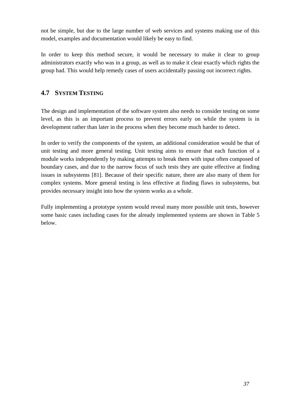not be simple, but due to the large number of web services and systems making use of this model, examples and documentation would likely be easy to find.

In order to keep this method secure, it would be necessary to make it clear to group administrators exactly who was in a group, as well as to make it clear exactly which rights the group had. This would help remedy cases of users accidentally passing out incorrect rights.

#### <span id="page-44-0"></span>**4.7 SYSTEM TESTING**

The design and implementation of the software system also needs to consider testing on some level, as this is an important process to prevent errors early on while the system is in development rather than later in the process when they become much harder to detect.

In order to verify the components of the system, an additional consideration would be that of unit testing and more general testing. Unit testing aims to ensure that each function of a module works independently by making attempts to break them with input often composed of boundary cases, and due to the narrow focus of such tests they are quite effective at finding issues in subsystems [81]. Because of their specific nature, there are also many of them for complex systems. More general testing is less effective at finding flaws in subsystems, but provides necessary insight into how the system works as a whole.

<span id="page-44-1"></span>Fully implementing a prototype system would reveal many more possible unit tests, however some basic cases including cases for the already implemented systems are shown in Table 5 below.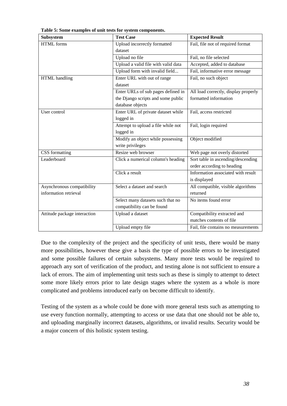| Subsystem                    | <b>Test Case</b>                    | <b>Expected Result</b>               |
|------------------------------|-------------------------------------|--------------------------------------|
| <b>HTML</b> forms            | Upload incorrectly formatted        | Fail, file not of required format    |
|                              | dataset                             |                                      |
|                              | Upload no file                      | Fail, no file selected               |
|                              | Upload a valid file with valid data | Accepted, added to database          |
|                              | Upload form with invalid field      | Fail, informative error message      |
| HTML handling                | Enter URL with out of range         | Fail, no such object                 |
|                              | dataset                             |                                      |
|                              | Enter URLs of sub pages defined in  | All load correctly, display properly |
|                              | the Django scripts and some public  | formatted information                |
|                              | database objects                    |                                      |
| User control                 | Enter URL of private dataset while  | Fail, access restricted              |
|                              | logged in                           |                                      |
|                              | Attempt to upload a file while not  | Fail, login required                 |
|                              | logged in                           |                                      |
|                              | Modify an object while possessing   | Object modified                      |
|                              | write privileges                    |                                      |
| CSS formatting               | Resize web browser                  | Web page not overly distorted        |
| Leaderboard                  | Click a numerical column's heading  | Sort table in ascending/descending   |
|                              |                                     | order according to heading           |
|                              | Click a result                      | Information associated with result   |
|                              |                                     | is displayed                         |
| Asynchronous compatibility   | Select a dataset and search         | All compatible, visible algorithms   |
| information retrieval        |                                     | returned                             |
|                              | Select many datasets such that no   | No items found error                 |
|                              | compatibility can be found          |                                      |
| Attitude package interaction | Upload a dataset                    | Compatibility extracted and          |
|                              |                                     | matches contents of file             |
|                              | Upload empty file                   | Fail, file contains no measurements  |

Due to the complexity of the project and the specificity of unit tests, there would be many more possibilities, however these give a basis the type of possible errors to be investigated and some possible failures of certain subsystems. Many more tests would be required to approach any sort of verification of the product, and testing alone is not sufficient to ensure a lack of errors. The aim of implementing unit tests such as these is simply to attempt to detect some more likely errors prior to late design stages where the system as a whole is more complicated and problems introduced early on become difficult to identify.

Testing of the system as a whole could be done with more general tests such as attempting to use every function normally, attempting to access or use data that one should not be able to, and uploading marginally incorrect datasets, algorithms, or invalid results. Security would be a major concern of this holistic system testing.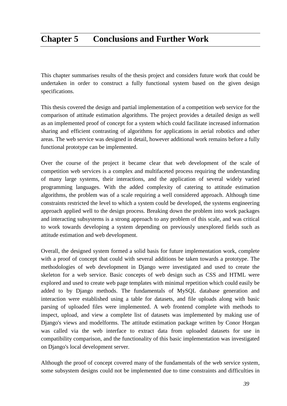## <span id="page-46-0"></span>**Chapter 5 Conclusions and Further Work**

This chapter summarises results of the thesis project and considers future work that could be undertaken in order to construct a fully functional system based on the given design specifications.

This thesis covered the design and partial implementation of a competition web service for the comparison of attitude estimation algorithms. The project provides a detailed design as well as an implemented proof of concept for a system which could facilitate increased information sharing and efficient contrasting of algorithms for applications in aerial robotics and other areas. The web service was designed in detail, however additional work remains before a fully functional prototype can be implemented.

Over the course of the project it became clear that web development of the scale of competition web services is a complex and multifaceted process requiring the understanding of many large systems, their interactions, and the application of several widely varied programming languages. With the added complexity of catering to attitude estimation algorithms, the problem was of a scale requiring a well considered approach. Although time constraints restricted the level to which a system could be developed, the systems engineering approach applied well to the design process. Breaking down the problem into work packages and interacting subsystems is a strong approach to any problem of this scale, and was critical to work towards developing a system depending on previously unexplored fields such as attitude estimation and web development.

Overall, the designed system formed a solid basis for future implementation work, complete with a proof of concept that could with several additions be taken towards a prototype. The methodologies of web development in Django were investigated and used to create the skeleton for a web service. Basic concepts of web design such as CSS and HTML were explored and used to create web page templates with minimal repetition which could easily be added to by Django methods. The fundamentals of MySQL database generation and interaction were established using a table for datasets, and file uploads along with basic parsing of uploaded files were implemented. A web frontend complete with methods to inspect, upload, and view a complete list of datasets was implemented by making use of Django's views and modelforms. The attitude estimation package written by Conor Horgan was called via the web interface to extract data from uploaded datasets for use in compatibility comparison, and the functionality of this basic implementation was investigated on Django's local development server.

Although the proof of concept covered many of the fundamentals of the web service system, some subsystem designs could not be implemented due to time constraints and difficulties in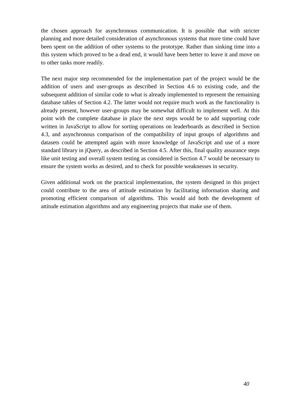the chosen approach for asynchronous communication. It is possible that with stricter planning and more detailed consideration of asynchronous systems that more time could have been spent on the addition of other systems to the prototype. Rather than sinking time into a this system which proved to be a dead end, it would have been better to leave it and move on to other tasks more readily.

The next major step recommended for the implementation part of the project would be the addition of users and user-groups as described in Section [4.6](#page-43-0) to existing code, and the subsequent addition of similar code to what is already implemented to represent the remaining database tables of Section [4.2.](#page-34-0) The latter would not require much work as the functionality is already present, however user-groups may be somewhat difficult to implement well. At this point with the complete database in place the next steps would be to add supporting code written in JavaScript to allow for sorting operations on leaderboards as described in Section [4.3,](#page-37-0) and asynchronous comparison of the compatibility of input groups of algorithms and datasets could be attempted again with more knowledge of JavaScript and use of a more standard library in jQuery, as described in Section [4.5.](#page-42-0) After this, final quality assurance steps like unit testing and overall system testing as considered in Section [4.7](#page-44-0) would be necessary to ensure the system works as desired, and to check for possible weaknesses in security.

Given additional work on the practical implementation, the system designed in this project could contribute to the area of attitude estimation by facilitating information sharing and promoting efficient comparison of algorithms. This would aid both the development of attitude estimation algorithms and any engineering projects that make use of them.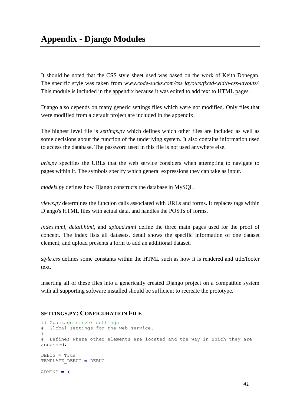## <span id="page-48-0"></span>**Appendix - Django Modules**

It should be noted that the CSS style sheet used was based on the work of Keith Donegan. The specific style was taken from *www.code-sucks.com/css layouts/fixed-width-css-layouts/*. This module is included in the appendix because it was edited to add text to HTML pages.

Django also depends on many generic settings files which were not modified. Only files that were modified from a default project are included in the appendix.

The highest level file is *settings.py* which defines which other files are included as well as some decisions about the function of the underlying system. It also contains information used to access the database. The password used in this file is not used anywhere else.

*urls.py* specifies the URLs that the web service considers when attempting to navigate to pages within it. The symbols specify which general expressions they can take as input.

*models.py* defines how Django constructs the database in MySQL.

*views.py* determines the function calls associated with URLs and forms. It replaces tags within Django's HTML files with actual data, and handles the POSTs of forms.

*index.html*, *detail.html*, and *upload.html* define the three main pages used for the proof of concept. The index lists all datasets, detail shows the specific information of one dataset element, and upload presents a form to add an additional dataset.

*style.css* defines some constants within the HTML such as how it is rendered and title/footer text.

Inserting all of these files into a generically created Django project on a compatible system with all supporting software installed should be sufficient to recreate the prototype.

#### <span id="page-48-1"></span>**SETTINGS.PY: CONFIGURATION FILE**

```
## @package server settings
# Global settings for the web service. 
# 
# Defines where other elements are located and the way in which they are 
accessed. 
DEBUG = True
TEMPLATE_DEBUG = DEBUG
ADMINS = (
```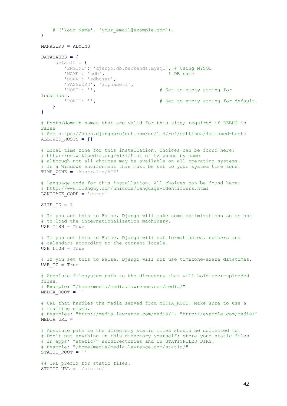```
 # ('Your Name', 'your_email@example.com'),
)
MANAGERS = ADMINS
DATABASES = {
     'default': {
         'ENGINE': 'django.db.backends.mysql', # Using MYSQL
         'NAME': 'sdb', # DB name
         'USER': 'sdbuser', 
         'PASSWORD': 'alphabet1', 
        'HOST': '', \qquad # Set to empty string for
localhost. 
        'PORT': '', \qquad \qquad \qquad \# Set to empty string for default.
     }
}
# Hosts/domain names that are valid for this site; required if DEBUG is 
False
# See https://docs.djangoproject.com/en/1.4/ref/settings/#allowed-hosts
ALLOWED_HOSTS = []
# Local time zone for this installation. Choices can be found here:
# http://en.wikipedia.org/wiki/List of tz zones by name
# although not all choices may be available on all operating systems.
# In a Windows environment this must be set to your system time zone.
TIME_ZONE = 'Australia/ACT'
# Language code for this installation. All choices can be found here:
# http://www.i18nguy.com/unicode/language-identifiers.html
LANGUAGE_CODE = 'en-us'
SITE ID = 1# If you set this to False, Django will make some optimizations so as not
# to load the internationalization machinery.
USE_I18N = True
# If you set this to False, Django will not format dates, numbers and
# calendars according to the current locale.
USE_L10N = True
# If you set this to False, Django will not use timezone-aware datetimes.
USE_TZ = True
# Absolute filesystem path to the directory that will hold user-uploaded 
files.
# Example: "/home/media/media.lawrence.com/media/"
MEDIA_ROOT = ''
# URL that handles the media served from MEDIA_ROOT. Make sure to use a
# trailing slash.
# Examples: "http://media.lawrence.com/media/", "http://example.com/media/"
MEDIA_URL = ''
# Absolute path to the directory static files should be collected to.
# Don't put anything in this directory yourself; store your static files
# in apps' "static/" subdirectories and in STATICFILES DIRS.
# Example: "/home/media/media.lawrence.com/static/"
STATIC_ROOT = ''
## URL prefix for static files.
STATIC_URL = '/static/'
```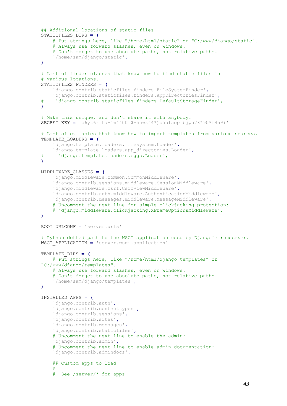```
## Additional locations of static files
STATICFILES_DIRS = (
     # Put strings here, like "/home/html/static" or "C:/www/django/static".
     # Always use forward slashes, even on Windows.
     # Don't forget to use absolute paths, not relative paths.
     '/home/sam/django/static',
)
# List of finder classes that know how to find static files in
# various locations.
STATICFILES_FINDERS = (
     'django.contrib.staticfiles.finders.FileSystemFinder',
     'django.contrib.staticfiles.finders.AppDirectoriesFinder',
# 'django.contrib.staticfiles.finders.DefaultStorageFinder',
)
# Make this unique, and don't share it with anybody.
SECRET_KEY = 'o6yt6rrta-1w^^@@_$+hhwxf4%)o5uf5op_bjp578*9@*f45@)'
# List of callables that know how to import templates from various sources.
TEMPLATE_LOADERS = (
     'django.template.loaders.filesystem.Loader',
     'django.template.loaders.app_directories.Loader',
# 'django.template.loaders.eggs.Loader',
)
MIDDLEWARE_CLASSES = (
     'django.middleware.common.CommonMiddleware',
     'django.contrib.sessions.middleware.SessionMiddleware',
     'django.middleware.csrf.CsrfViewMiddleware',
     'django.contrib.auth.middleware.AuthenticationMiddleware',
     'django.contrib.messages.middleware.MessageMiddleware',
     # Uncomment the next line for simple clickjacking protection:
     # 'django.middleware.clickjacking.XFrameOptionsMiddleware',
)
ROOT_URLCONF = 'server.urls'
# Python dotted path to the WSGI application used by Django's runserver.
WSGI_APPLICATION = 'server.wsgi.application'
TEMPLATE_DIRS = (
    # Put strings here, like "/home/html/django templates" or
"C:/www/django/templates".
     # Always use forward slashes, even on Windows.
     # Don't forget to use absolute paths, not relative paths.
     '/home/sam/django/templates',
)
INSTALLED_APPS = (
     'django.contrib.auth',
     'django.contrib.contenttypes',
     'django.contrib.sessions',
     'django.contrib.sites',
     'django.contrib.messages',
     'django.contrib.staticfiles',
     # Uncomment the next line to enable the admin:
     'django.contrib.admin',
     # Uncomment the next line to enable admin documentation:
     'django.contrib.admindocs',
     ## Custom apps to load
     # 
     # See /server/* for apps
```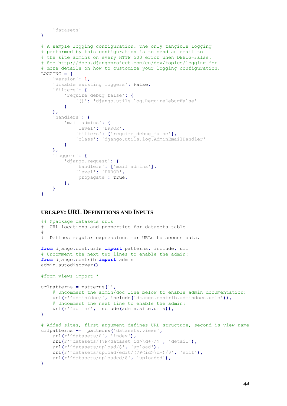```
 'datasets'
)
# A sample logging configuration. The only tangible logging
# performed by this configuration is to send an email to
# the site admins on every HTTP 500 error when DEBUG=False.
# See http://docs.djangoproject.com/en/dev/topics/logging for
# more details on how to customize your logging configuration.
LOGGING = {
     'version': 1,
     'disable_existing_loggers': False,
     'filters': {
         'require_debug_false': {
              '()': 'django.utils.log.RequireDebugFalse'
 }
     },
     'handlers': {
         'mail_admins': {
             'level': 'ERROR',
             'filters': ['require_debug_false'],
             'class': 'django.utils.log.AdminEmailHandler'
         }
     },
     'loggers': {
         'django.request': {
             'handlers': ['mail_admins'],
             'level': 'ERROR',
             'propagate': True,
         },
     }
}
```
#### <span id="page-51-0"></span>**URLS.PY: URL DEFINITIONS AND INPUTS**

```
## @package datasets urls
# URL locations and properties for datasets table. 
# 
# Defines regular expressions for URLs to access data. 
from django.conf.urls import patterns, include, url
# Uncomment the next two lines to enable the admin:
from django.contrib import admin
admin.autodiscover()
#from views import *
urlpatterns = patterns('',
     # Uncomment the admin/doc line below to enable admin documentation:
     url(r'^admin/doc/', include('django.contrib.admindocs.urls')),
     # Uncomment the next line to enable the admin:
    url(r'^admin/', include(admin.site.urls)),
)
# Added sites, first argument defines URL structure, second is view name
urlpatterns += patterns('datasets.views',
    url(r'^datasets/$', 'index'),
     url(r'^datasets/(?P<dataset_id>\d+)/$', 'detail'),
     url(r'^datasets/upload/$', 'upload'),
     url(r'^datasets/upload/edit/(?P<id>\d+)/$', 'edit'),
    url(r'^datasets/uploaded/$', 'uploaded'),
)
```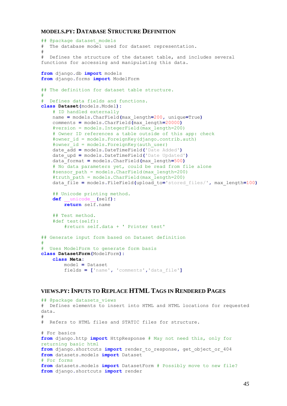#### <span id="page-52-0"></span>**MODELS.PY: DATABASE STRUCTURE DEFINITION**

```
## @package dataset_models
# The database model used for dataset representation. 
# 
# Defines the structure of the dataset table, and includes several 
functions for accessing and manipulating this data. 
from django.db import models
from django.forms import ModelForm
## The definition for dataset table structure. 
# 
# Defines data fields and functions. 
class Dataset(models.Model):
     # ID handled externally
     name = models.CharField(max_length=200, unique=True)
     comments = models.CharField(max_length=20000)
     #version = models.IntegerField(max_length=200)
     # Owner ID references a table outside of this app: check
     #owner_id = models.ForeignKey(django.contrib.auth)
     #owner_id = models.ForeignKey(auth_user)
     date_add = models.DateTimeField('Date Added')
     date_upd = models.DateTimeField('Date Updated')
     data_format = models.CharField(max_length=500)
     # No data parameters yet, could be read from file alone
     #sensor_path = models.CharField(max_length=200)
    #truth path = models. CharField (\text{max}\overline{lenath}=200) data_file = models.FileField(upload_to='stored_files/', max_length=100)
     ## Unicode printing method.
     def __unicode__(self):
         return self.name
     ## Test method. 
     #def test(self):
         #return self.data + ' Printer test'
## Generate input form based on Dataset definition
# 
  Uses ModelForm to generate form basis
class DatasetForm(ModelForm):
     class Meta:
         model = Dataset
         fields = ['name', 'comments','data_file']
```
#### <span id="page-52-1"></span>**VIEWS.PY:INPUTS TO REPLACE HTML TAGS IN RENDERED PAGES**

```
## @package datasets views
# Defines elements to insert into HTML and HTML locations for requested 
data. 
# 
# Refers to HTML files and STATIC files for structure. 
# For basics
from django.http import HttpResponse # May not need this, only for 
returning basic html
from django.shortcuts import render_to_response, get_object_or_404
from datasets.models import Dataset
# For forms
from datasets.models import DatasetForm # Possibly move to new file? 
from django.shortcuts import render
```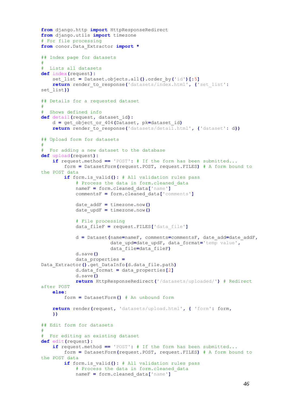```
from django.http import HttpResponseRedirect
from django.utils import timezone
# For file processing
from conor.Data_Extractor import *
## Index page for datasets
#
# Lists all datasets
def index(request):
     set_list = Dataset.objects.all().order_by('id')[:5]
     return render_to_response('datasets/index.html', {'set_list':
set_list})
## Details for a requested dataset
#
# Shows defined info 
def detail(request, dataset_id):
     d = get_object_or_404(Dataset, pk=dataset_id)
     return render_to_response('datasets/detail.html', {'dataset': d})
## Upload form for datasets
#
# For adding a new dataset to the database
def upload(request):
     if request.method == 'POST': # If the form has been submitted...
         form = DatasetForm(request.POST, request.FILES) # A form bound to 
the POST data
         if form.is_valid(): # All validation rules pass
            # Process the data in form.cleaned data
             nameF = form.cleaned_data['name']
             commentsF = form.cleaned_data['comments']
             date_addF = timezone.now()
             date_updF = timezone.now()
             # File processing
             data_fileF = request.FILES['data_file']
             d = Dataset(name=nameF, comments=commentsF, date_add=date_addF,
                         date_upd=date_updF, data_format='temp value',
                         data_file=data_fileF)
             d.save()
             data_properties =
Data_Extractor().get_DataInfo(d.data_file.path)
             d.data_format = data_properties[2]
             d.save()
             return HttpResponseRedirect('/datasets/uploaded/') # Redirect 
after POST
     else:
         form = DatasetForm() # An unbound form
     return render(request, 'datasets/upload.html', { 'form': form,
     })
## Edit form for datasets
#
# For editing an existing dataset
def edit(request):
     if request.method == 'POST': # If the form has been submitted...
         form = DatasetForm(request.POST, request.FILES) # A form bound to 
the POST data
         if form.is_valid(): # All validation rules pass
            # Process the data in form.cleaned data
             nameF = form.cleaned_data['name']
```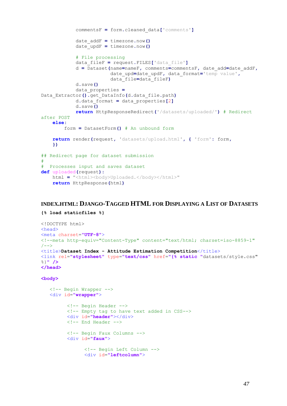```
 commentsF = form.cleaned_data['comments']
             date_addF = timezone.now()
             date_updF = timezone.now()
             # File processing
             data_fileF = request.FILES['data_file']
             d = Dataset(name=nameF, comments=commentsF, date_add=date_addF,
                          date_upd=date_updF, data_format='temp value',
                          data_file=data_fileF)
             d.save()
             data_properties =
Data_Extractor().get_DataInfo(d.data_file.path)
             d.data_format = data_properties[2]
             d.save()
             return HttpResponseRedirect('/datasets/uploaded/') # Redirect 
after POST
     else:
         form = DatasetForm() # An unbound form
     return render(request, 'datasets/upload.html', { 'form': form,
     })
## Redirect page for dataset submission
# 
# Processes input and saves dataset
def uploaded(request):
    html = "<html><br/>body>Uploaded.</body></html>"
     return HttpResponse(html)
```
#### <span id="page-54-0"></span>**INDEX.HTML: DJANGO-TAGGED HTML FOR DISPLAYING A LIST OF DATASETS**

```
{% load staticfiles %}
<!DOCTYPE html>
<head>
<meta charset="UTF-8">
<!--meta http-equiv="Content-Type" content="text/html; charset=iso-8859-1" 
/ - - ><title>Dataset Index - Attitude Estimation Competition</title>
<link rel="stylesheet" type="text/css" href="{% static "datasets/style.css" 
%}" />
</head>
```
#### **<body>**

```
 <!-- Begin Wrapper -->
 <div id="wrapper">
       <!-- Begin Header -->
       <!-- Empty tag to have text added in CSS-->
       <div id="header"></div>
       <!-- End Header -->
       <!-- Begin Faux Columns -->
       <div id="faux">
             <!-- Begin Left Column -->
             <div id="leftcolumn">
```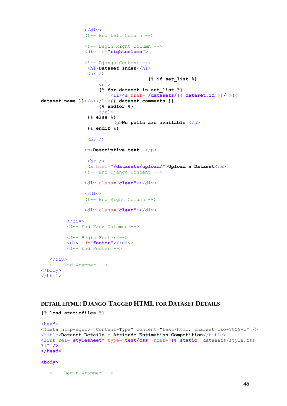```
 </div>
                 <!-- End Left Column -->
                 <!-- Begin Right Column -->
                 <div id="rightcolumn">
                 <!-- Django Content -->
                  <h1>Dataset Index</h1> 
                  \text{Br} />
                                          {% if set_list %}
                      \langle u1 \rangle{% for dataset in set_list %}
                           <li><a href="/datasets/{{ dataset.id }}/">{{ 
dataset.name }}</a></li>{{ dataset.comments }}
                       {% endfor %}
                      \langle/ul>
                   {% else %}
                             <p>No polls are available.</p>
                   {% endif %}
                  \text{Br} />
                 <p>Descriptive text. </p> 
                 \text{Br} />
                  <a href="/datasets/upload/">Upload a Dataset</a>
                 <!-- End Django Content -->
                 <div class="clear"></div>
                 </div>
                 <!-- End Right Column -->
                 <div class="clear"></div>
           </div> 
           <!-- End Faux Columns -->
           <!-- Begin Footer -->
           <div id="footer"></div>
           <!-- End Footer -->
   \langle/div>
    <!-- End Wrapper -->
</body>
</html>
```
#### <span id="page-55-0"></span>**DETAIL.HTML: DJANGO-TAGGED HTML FOR DATASET DETAILS**

**{% load staticfiles %}**

```
<head>
<!meta http-equiv="Content-Type" content="text/html; charset=iso-8859-1" />
<title>Dataset Details - Attitude Estimation Competition</title>
<link rel="stylesheet" type="text/css" href="{% static "datasets/style.css" 
%}" />
</head>
```
**<body>**

<!-- Begin Wrapper -->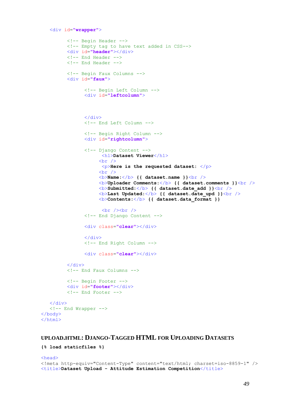```
 <div id="wrapper">
```

```
 <!-- Begin Header -->
           <!-- Empty tag to have text added in CSS-->
           <div id="header"></div>
           <!-- End Header -->
           <!-- End Header -->
           <!-- Begin Faux Columns -->
           <div id="faux">
                  <!-- Begin Left Column -->
                  <div id="leftcolumn">
                 \langle/div>
                  <!-- End Left Column -->
                  <!-- Begin Right Column -->
                  <div id="rightcolumn">
                  <!-- Django Content -->
                        <h1>Dataset Viewer</h1> 
                      \text{Br} />
                        <p>Here is the requested dataset: </p>
                      \text{Br} />
                      <b>Name:</b> {{ dataset.name }}<br />
                       <b>Uploader Comments:</b> {{ dataset.comments }}<br />
                       <b>Submitted:</b> {{ dataset.date_add }}<br />
                       <b>Last Updated:</b> {{ dataset.date_upd }}<br />
                       <b>Contents:</b> {{ dataset.data_format }}
                       \frac{\text{br}}{\text{b}r} />\frac{\text{br}}{\text{b}r} />
                  <!-- End Django Content -->
                  <div class="clear"></div>
                 \langle/div>
                  <!-- End Right Column -->
                  <div class="clear"></div>
           </div> 
           <!-- End Faux Columns -->
           <!-- Begin Footer -->
           <div id="footer"></div>
           <!-- End Footer -->
   \langle/div>
    <!-- End Wrapper -->
</body>
</html>
```
#### <span id="page-56-0"></span>**UPLOAD.HTML: DJANGO-TAGGED HTML FOR UPLOADING DATASETS**

```
{% load staticfiles %}
```

```
<head>
<!meta http-equiv="Content-Type" content="text/html; charset=iso-8859-1" />
<title>Dataset Upload - Attitude Estimation Competition</title>
```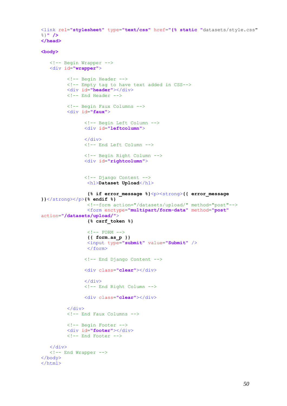<link rel=**"stylesheet"** type=**"text/css"** href=**"{% static "**datasets/style.css" %}**" /> </head>**

```
<body>
```

```
 <!-- Begin Wrapper -->
    <div id="wrapper">
          <!-- Begin Header -->
          <!-- Empty tag to have text added in CSS-->
          <div id="header"></div>
          <!-- End Header -->
          <!-- Begin Faux Columns -->
          <div id="faux">
                 <!-- Begin Left Column -->
                 <div id="leftcolumn">
                \langle/div>
                 <!-- End Left Column -->
                 <!-- Begin Right Column -->
                 <div id="rightcolumn">
                 <!-- Django Content -->
                  <h1>Dataset Upload</h1>
                  {% if error_message %}<p><strong>{{ error_message 
}}</strong></p>{% endif %}
                  <!--form action="/datasets/upload/" method="post"-->
                  <form enctype="multipart/form-data" method="post"
action="/datasets/upload/">
                  {% csrf_token %}
                  <!-- FORM -->
                  {{ form.as_p }}
                  <input type="submit" value="Submit" />
                  </form>
                 <!-- End Django Content -->
                 <div class="clear"></div>
                \langle/div>
                 <!-- End Right Column -->
                 <div class="clear"></div>
          </div> 
          <!-- End Faux Columns -->
          <!-- Begin Footer -->
          <div id="footer"></div>
         \langle!-- End Footer -->
    </div>
    <!-- End Wrapper -->
</body>
</html>
```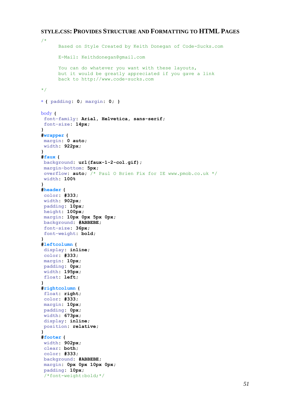#### <span id="page-58-0"></span>**STYLE.CSS: PROVIDES STRUCTURE AND FORMATTING TO HTML PAGES**

```
/*
       Based on Style Created by Keith Donegan of Code-Sucks.com
       E-Mail: Keithdonegan@gmail.com
      You can do whatever you want with these layouts,
       but it would be greatly appreciated if you gave a link
       back to http://www.code-sucks.com
*/
* { padding: 0; margin: 0; }
body {
 font-family: Arial, Helvetica, sans-serif;
font-size: 14px;
}
#wrapper {
margin: 0 auto;
width: 922px;
}
#faux {
background: url(faux-1-2-col.gif);
margin-bottom: 5px;
overflow: auto; /* Paul O Brien Fix for IE www.pmob.co.uk */
width: 100%
}
#header {
color: #333;
width: 902px;
padding: 10px;
height: 100px;
margin: 10px 0px 5px 0px;
background: #ABBEBE;
font-size: 36px;
font-weight: bold;
}
#leftcolumn {
display: inline;
color: #333;
margin: 10px;
padding: 0px;
width: 195px;
float: left;
}
#rightcolumn {
float: right;
color: #333;
margin: 10px;
padding: 0px;
width: 673px;
display: inline;
position: relative;
}
#footer {
width: 902px;
clear: both;
color: #333;
background: #ABBEBE;
margin: 0px 0px 10px 0px;
padding: 10px;
 /*font-weight:bold;*/
```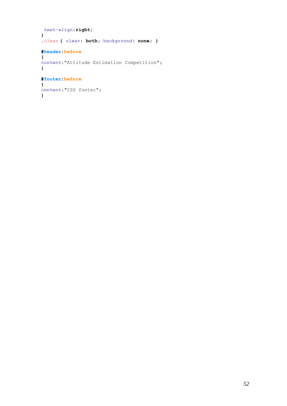```
text-align:right;
}
.clear { clear: both; background: none; }
#header:before
{
content:"Attitude Estimation Competition";
}
#footer:before
{
content:"CSS footer";
}
```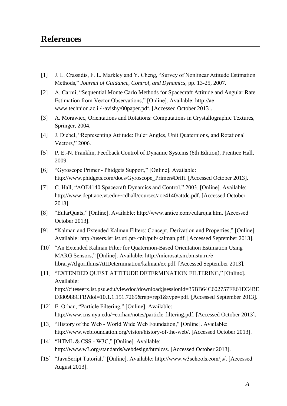## <span id="page-60-0"></span>**References**

- [1] J. L. Crassidis, F. L. Markley and Y. Cheng, "Survey of Nonlinear Attitude Estimation Methods," *Journal of Guidance, Control, and Dynamics,* pp. 13-25, 2007.
- [2] A. Carmi, "Sequential Monte Carlo Methods for Spacecraft Attitude and Angular Rate Estimation from Vector Observations," [Online]. Available: http://aewww.technion.ac.il/~avishy/00paper.pdf. [Accessed October 2013].
- [3] A. Morawiec, Orientations and Rotations: Computations in Crystallographic Textures, Springer, 2004.
- [4] J. Diebel, "Representing Attitude: Euler Angles, Unit Quaternions, and Rotational Vectors," 2006.
- [5] P. E.-N. Franklin, Feedback Control of Dynamic Systems (6th Edition), Prentice Hall, 2009.
- [6] "Gyroscope Primer Phidgets Support," [Online]. Available: http://www.phidgets.com/docs/Gyroscope\_Primer#Drift. [Accessed October 2013].
- [7] C. Hall, "AOE4140 Spacecraft Dynamics and Control," 2003. [Online]. Available: http://www.dept.aoe.vt.edu/~cdhall/courses/aoe4140/attde.pdf. [Accessed October 2013].
- [8] "EularQuats," [Online]. Available: http://www.anticz.com/eularqua.htm. [Accessed October 2013].
- [9] "Kalman and Extended Kalman Filters: Concept, Derivation and Properties," [Online]. Available: http://users.isr.ist.utl.pt/~mir/pub/kalman.pdf. [Accessed September 2013].
- [10] "An Extended Kalman Filter for Quaternion-Based Orientation Estimation Using MARG Sensors," [Online]. Available: http://microsat.sm.bmstu.ru/elibrary/Algorithms/AttDetermination/kalman/ex.pdf. [Accessed September 2013].
- [11] "EXTENDED QUEST ATTITUDE DETERMINATION FILTERING," [Online]. Available: http://citeseerx.ist.psu.edu/viewdoc/download;jsessionid=35BB64C602757FE61EC4BE E080988CFB?doi=10.1.1.151.7265&rep=rep1&type=pdf. [Accessed September 2013].
- [12] E. Orhan, "Particle Filtering," [Online]. Available: http://www.cns.nyu.edu/~eorhan/notes/particle-filtering.pdf. [Accessed October 2013].
- [13] "History of the Web World Wide Web Foundation," [Online]. Available: http://www.webfoundation.org/vision/history-of-the-web/. [Accessed October 2013].
- [14] "HTML & CSS W3C," [Online]. Available: http://www.w3.org/standards/webdesign/htmlcss. [Accessed October 2013].
- [15] "JavaScript Tutorial," [Online]. Available: http://www.w3schools.com/js/. [Accessed August 2013].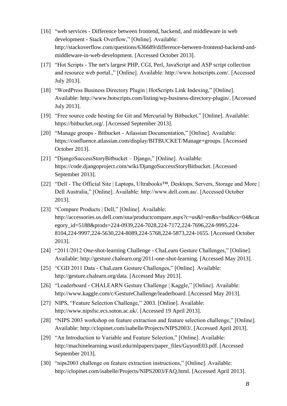- [16] "web services Difference between frontend, backend, and middleware in web development - Stack Overflow," [Online]. Available: http://stackoverflow.com/questions/636689/difference-between-frontend-backend-andmiddleware-in-web-development. [Accessed October 2013].
- [17] "Hot Scripts The net's largest PHP, CGI, Perl, JavaScript and ASP script collection and resource web portal.," [Online]. Available: http://www.hotscripts.com/. [Accessed July 2013].
- [18] "WordPress Business Directory Plugin | HotScripts Link Indexing," [Online]. Available: http://www.hotscripts.com/listing/wp-business-directory-plugin/. [Accessed July 2013].
- [19] "Free source code hosting for Git and Mercurial by Bitbucket," [Online]. Available: https://bitbucket.org/. [Accessed September 2013].
- [20] "Manage groups Bitbucket Atlassian Documentation," [Online]. Available: https://confluence.atlassian.com/display/BITBUCKET/Manage+groups. [Accessed October 2013].
- [21] "DjangoSuccessStoryBitbucket Django," [Online]. Available: https://code.djangoproject.com/wiki/DjangoSuccessStoryBitbucket. [Accessed September 2013].
- [22] "Dell The Official Site | Laptops, Ultrabooks™, Desktops, Servers, Storage and More | Dell Australia," [Online]. Available: http://www.dell.com.au/. [Accessed October 2013].
- [23] "Compare Products | Dell," [Online]. Available: http://accessories.us.dell.com/sna/productcompare.aspx?c=us&l=en&s=bsd&cs=04&cat egory\_id=5188&prods=224-0939,224-7028,224-7172,224-7696,224-9995,224- 8104,224-9997,224-5630,224-8089,224-5768,224-5873,224-1655. [Accessed October 2013].
- [24] "2011/2012 One-shot-learning Challenge ChaLearn Gesture Challenges," [Online]. Available: http://gesture.chalearn.org/2011-one-shot-learning. [Accessed May 2013].
- [25] "CGD 2011 Data ChaLearn Gesture Challenges," [Online]. Available: http://gesture.chalearn.org/data. [Accessed May 2013].
- [26] "Leaderboard CHALEARN Gesture Challenge | Kaggle," [Online]. Available: http://www.kaggle.com/c/GestureChallenge/leaderboard. [Accessed May 2013].
- [27] NIPS, "Feature Selection Challenge," 2003. [Online]. Available: http://www.nipsfsc.ecs.soton.ac.uk/. [Accessed 19 April 2013].
- [28] "NIPS 2003 workshop on feature extraction and feature selection challenge," [Online]. Available: http://clopinet.com/isabelle/Projects/NIPS2003/. [Accessed April 2013].
- [29] "An Introduction to Variable and Feature Selection," [Online]. Available: http://machinelearning.wustl.edu/mlpapers/paper\_files/GuyonE03.pdf. [Accessed September 2013].
- [30] "nips2003 challenge on feature extraction instructions," [Online]. Available: http://clopinet.com/isabelle/Projects/NIPS2003/FAQ.html. [Accessed April 2013].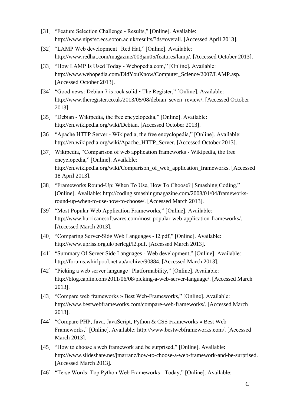- [31] "Feature Selection Challenge Results," [Online]. Available: http://www.nipsfsc.ecs.soton.ac.uk/results/?ds=overall. [Accessed April 2013].
- [32] "LAMP Web development | Red Hat," [Online]. Available: http://www.redhat.com/magazine/003jan05/features/lamp/. [Accessed October 2013].
- [33] "How LAMP Is Used Today Webopedia.com," [Online]. Available: http://www.webopedia.com/DidYouKnow/Computer\_Science/2007/LAMP.asp. [Accessed October 2013].
- [34] "Good news: Debian 7 is rock solid The Register," [Online]. Available: http://www.theregister.co.uk/2013/05/08/debian\_seven\_review/. [Accessed October 2013].
- [35] "Debian Wikipedia, the free encyclopedia," [Online]. Available: http://en.wikipedia.org/wiki/Debian. [Accessed October 2013].
- [36] "Apache HTTP Server Wikipedia, the free encyclopedia," [Online]. Available: http://en.wikipedia.org/wiki/Apache\_HTTP\_Server. [Accessed October 2013].
- [37] Wikipedia, "Comparison of web application frameworks Wikipedia, the free encyclopedia," [Online]. Available: http://en.wikipedia.org/wiki/Comparison\_of\_web\_application\_frameworks. [Accessed 18 April 2013].
- [38] "Frameworks Round-Up: When To Use, How To Choose? | Smashing Coding," [Online]. Available: http://coding.smashingmagazine.com/2008/01/04/frameworksround-up-when-to-use-how-to-choose/. [Accessed March 2013].
- [39] "Most Popular Web Application Frameworks," [Online]. Available: http://www.hurricanesoftwares.com/most-popular-web-application-frameworks/. [Accessed March 2013].
- [40] "Comparing Server-Side Web Languages l2.pdf," [Online]. Available: http://www.upriss.org.uk/perlcgi/l2.pdf. [Accessed March 2013].
- [41] "Summary Of Server Side Languages Web development," [Online]. Available: http://forums.whirlpool.net.au/archive/90884. [Accessed March 2013].
- [42] "Picking a web server language | Platformability," [Online]. Available: http://blog.caplin.com/2011/06/08/picking-a-web-server-language/. [Accessed March 2013].
- [43] "Compare web frameworks » Best Web-Frameworks," [Online]. Available: http://www.bestwebframeworks.com/compare-web-frameworks/. [Accessed March 2013].
- [44] "Compare PHP, Java, JavaScript, Python & CSS Frameworks » Best Web-Frameworks," [Online]. Available: http://www.bestwebframeworks.com/. [Accessed March 2013].
- [45] "How to choose a web framework and be surprised," [Online]. Available: http://www.slideshare.net/jmarranz/how-to-choose-a-web-framework-and-be-surprised. [Accessed March 2013].
- [46] "Terse Words: Top Python Web Frameworks Today," [Online]. Available: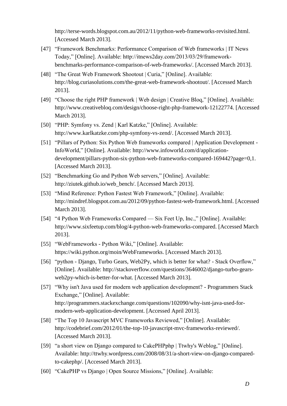http://terse-words.blogspot.com.au/2012/11/python-web-frameworks-revisited.html. [Accessed March 2013].

- [47] "Framework Benchmarks: Performance Comparison of Web frameworks | IT News Today," [Online]. Available: http://itnews2day.com/2013/03/29/frameworkbenchmarks-performance-comparison-of-web-frameworks/. [Accessed March 2013].
- [48] "The Great Web Framework Shootout | Curia," [Online]. Available: http://blog.curiasolutions.com/the-great-web-framework-shootout/. [Accessed March 2013].
- [49] "Choose the right PHP framework | Web design | Creative Bloq," [Online]. Available: http://www.creativebloq.com/design/choose-right-php-framework-12122774. [Accessed March 2013].
- [50] "PHP: Symfony vs. Zend | Karl Katzke," [Online]. Available: http://www.karlkatzke.com/php-symfony-vs-zend/. [Accessed March 2013].
- [51] "Pillars of Python: Six Python Web frameworks compared | Application Development InfoWorld," [Online]. Available: http://www.infoworld.com/d/applicationdevelopment/pillars-python-six-python-web-frameworks-compared-169442?page=0,1. [Accessed March 2013].
- [52] "Benchmarking Go and Python Web servers," [Online]. Available: http://ziutek.github.io/web\_bench/. [Accessed March 2013].
- [53] "Mind Reference: Python Fastest Web Framework," [Online]. Available: http://mindref.blogspot.com.au/2012/09/python-fastest-web-framework.html. [Accessed March 2013].
- [54] "4 Python Web Frameworks Compared Six Feet Up, Inc.," [Online]. Available: http://www.sixfeetup.com/blog/4-python-web-frameworks-compared. [Accessed March 2013].
- [55] "WebFrameworks Python Wiki," [Online]. Available: https://wiki.python.org/moin/WebFrameworks. [Accessed March 2013].
- [56] "python Django, Turbo Gears, Web2Py, which is better for what? Stack Overflow," [Online]. Available: http://stackoverflow.com/questions/3646002/django-turbo-gearsweb2py-which-is-better-for-what. [Accessed March 2013].
- [57] "Why isn't Java used for modern web application development? Programmers Stack Exchange," [Online]. Available: http://programmers.stackexchange.com/questions/102090/why-isnt-java-used-formodern-web-application-development. [Accessed April 2013].
- [58] "The Top 10 Javascript MVC Frameworks Reviewed," [Online]. Available: http://codebrief.com/2012/01/the-top-10-javascript-mvc-frameworks-reviewed/. [Accessed March 2013].
- [59] "a short view on Django compared to CakePHPphp | Ttwhy's Weblog," [Online]. Available: http://ttwhy.wordpress.com/2008/08/31/a-short-view-on-django-comparedto-cakephp/. [Accessed March 2013].
- [60] "CakePHP vs Django | Open Source Missions," [Online]. Available: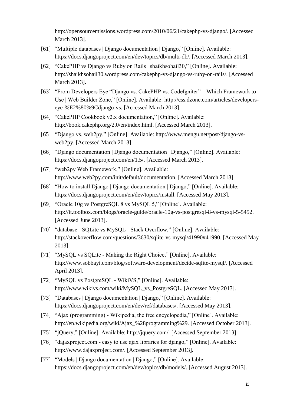http://opensourcemissions.wordpress.com/2010/06/21/cakephp-vs-django/. [Accessed March 2013].

- [61] "Multiple databases | Django documentation | Django," [Online]. Available: https://docs.djangoproject.com/en/dev/topics/db/multi-db/. [Accessed March 2013].
- [62] "CakePHP vs Django vs Ruby on Rails | shaikhsohail30," [Online]. Available: http://shaikhsohail30.wordpress.com/cakephp-vs-django-vs-ruby-on-rails/. [Accessed March 2013].
- [63] "From Developers Eye "Django vs. CakePHP vs. CodeIgniter" Which Framework to Use | Web Builder Zone," [Online]. Available: http://css.dzone.com/articles/developerseye-%E2%80%9Cdjango-vs. [Accessed March 2013].
- [64] "CakePHP Cookbook v2.x documentation," [Online]. Available: http://book.cakephp.org/2.0/en/index.html. [Accessed March 2013].
- [65] "Django vs. web2py," [Online]. Available: http://www.mengu.net/post/django-vsweb2py. [Accessed March 2013].
- [66] "Django documentation | Django documentation | Django," [Online]. Available: https://docs.djangoproject.com/en/1.5/. [Accessed March 2013].
- [67] "web2py Web Framework," [Online]. Available: http://www.web2py.com/init/default/documentation. [Accessed March 2013].
- [68] "How to install Django | Django documentation | Django," [Online]. Available: https://docs.djangoproject.com/en/dev/topics/install. [Accessed May 2013].
- [69] "Oracle 10g vs PostgreSQL 8 vs MySQL 5," [Online]. Available: http://it.toolbox.com/blogs/oracle-guide/oracle-10g-vs-postgresql-8-vs-mysql-5-5452. [Accessed June 2013].
- [70] "database SOLite vs MySOL Stack Overflow," [Online]. Available: http://stackoverflow.com/questions/3630/sqlite-vs-mysql/41990#41990. [Accessed May 2013].
- [71] "MySQL vs SQLite Making the Right Choice," [Online]. Available: http://www.sobbayi.com/blog/software-development/decide-sqlite-mysql/. [Accessed April 2013].
- [72] "MySQL vs PostgreSQL WikiVS," [Online]. Available: http://www.wikivs.com/wiki/MySQL\_vs\_PostgreSQL. [Accessed May 2013].
- [73] "Databases | Django documentation | Django," [Online]. Available: https://docs.djangoproject.com/en/dev/ref/databases/. [Accessed May 2013].
- [74] "Ajax (programming) Wikipedia, the free encyclopedia," [Online]. Available: http://en.wikipedia.org/wiki/Ajax\_%28programming%29. [Accessed October 2013].
- [75] "jQuery," [Online]. Available: http://jquery.com/. [Accessed September 2013].
- [76] "dajaxproject.com easy to use ajax libraries for diango," [Online]. Available: http://www.dajaxproject.com/. [Accessed September 2013].
- [77] "Models | Django documentation | Django," [Online]. Available: https://docs.djangoproject.com/en/dev/topics/db/models/. [Accessed August 2013].